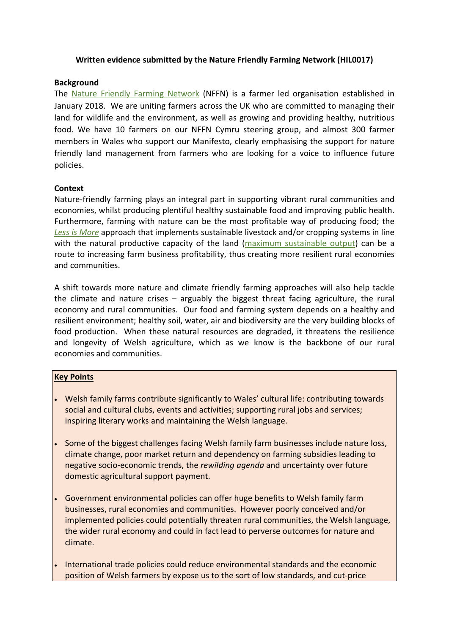## **Written evidence submitted by the Nature Friendly Farming Network (HIL0017)**

## **Background**

The [Nature](https://www.nffn.org.uk/) [Friendly](https://www.nffn.org.uk/) [Farming](https://www.nffn.org.uk/) [Network](https://www.nffn.org.uk/) (NFFN) is a farmer led organisation established in January 2018. We are uniting farmers across the UK who are committed to managing their land for wildlife and the environment, as well as growing and providing healthy, nutritious food. We have 10 farmers on our NFFN Cymru steering group, and almost 300 farmer members in Wales who support our Manifesto, clearly emphasising the support for nature friendly land management from farmers who are looking for a voice to influence future policies.

## **Context**

Nature-friendly farming plays an integral part in supporting vibrant rural communities and economies, whilst producing plentiful healthy sustainable food and improving public health. Furthermore, farming with nature can be the most profitable way of producing food; the *[Less](https://www.nffn.org.uk/wp-content/uploads/2020/09/Less-is-More.pdf) [is](https://www.nffn.org.uk/wp-content/uploads/2020/09/Less-is-More.pdf) [More](https://www.nffn.org.uk/wp-content/uploads/2020/09/Less-is-More.pdf)* approach that implements sustainable livestock and/or cropping systems in line with the natural productive capacity of the land ([maximum](https://www.nffn.org.uk/wp-content/uploads/2020/10/20012-NFFN-Report-Nature-means-business-DIGITAL-1.pdf) [sustainable](https://www.nffn.org.uk/wp-content/uploads/2020/10/20012-NFFN-Report-Nature-means-business-DIGITAL-1.pdf) [output](https://www.nffn.org.uk/wp-content/uploads/2020/10/20012-NFFN-Report-Nature-means-business-DIGITAL-1.pdf)) can be a route to increasing farm business profitability, thus creating more resilient rural economies and communities.

A shift towards more nature and climate friendly farming approaches will also help tackle the climate and nature crises – arguably the biggest threat facing agriculture, the rural economy and rural communities. Our food and farming system depends on a healthy and resilient environment; healthy soil, water, air and biodiversity are the very building blocks of food production. When these natural resources are degraded, it threatens the resilience and longevity of Welsh agriculture, which as we know is the backbone of our rural economies and communities.

# **Key Points**

- Welsh family farms contribute significantly to Wales' cultural life: contributing towards social and cultural clubs, events and activities; supporting rural jobs and services; inspiring literary works and maintaining the Welsh language.
- Some of the biggest challenges facing Welsh family farm businesses include nature loss, climate change, poor market return and dependency on farming subsidies leading to negative socio-economic trends, the *rewilding agenda* and uncertainty over future domestic agricultural support payment.
- Government environmental policies can offer huge benefits to Welsh family farm businesses, rural economies and communities. However poorly conceived and/or implemented policies could potentially threaten rural communities, the Welsh language, the wider rural economy and could in fact lead to perverse outcomes for nature and climate.
- International trade policies could reduce environmental standards and the economic position of Welsh farmers by expose us to the sort of low standards, and cut-price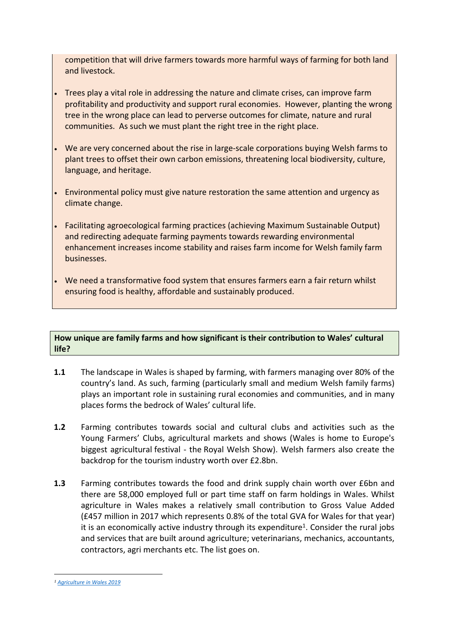competition that will drive farmers towards more harmful ways of farming for both land and livestock.

- Trees play a vital role in addressing the nature and climate crises, can improve farm profitability and productivity and support rural economies. However, planting the wrong tree in the wrong place can lead to perverse outcomes for climate, nature and rural communities. As such we must plant the right tree in the right place.
- We are very concerned about the rise in large-scale corporations buying Welsh farms to plant trees to offset their own carbon emissions, threatening local biodiversity, culture, language, and heritage.
- Environmental policy must give nature restoration the same attention and urgency as climate change.
- Facilitating agroecological farming practices (achieving Maximum Sustainable Output) and redirecting adequate farming payments towards rewarding environmental enhancement increases income stability and raises farm income for Welsh family farm businesses.
- We need a transformative food system that ensures farmers earn a fair return whilst ensuring food is healthy, affordable and sustainably produced.

## **How unique are family farms and how significant is their contribution to Wales' cultural life?**

- **1.1** The landscape in Wales is shaped by farming, with farmers managing over 80% of the country's land. As such, farming (particularly small and medium Welsh family farms) plays an important role in sustaining rural economies and communities, and in many places forms the bedrock of Wales' cultural life.
- **1.2** Farming contributes towards social and cultural clubs and activities such as the Young Farmers' Clubs, agricultural markets and shows (Wales is home to Europe's biggest agricultural festival - the Royal Welsh Show). Welsh farmers also create the backdrop for the tourism industry worth over £2.8bn.
- <span id="page-1-0"></span>**1.3** Farming contributes towards the food and drink supply chain worth over £6bn and there are 58,000 employed full or part time staff on farm holdings in Wales. Whilst agriculture in Wales makes a relatively small contribution to Gross Value Added (£457 million in 2017 which represents 0.8% of the total GVA for Wales for that year) it is an economically active industry through its expenditure<sup>1</sup>. Consider the rural jobs and services that are built around agriculture; veterinarians, mechanics, accountants, contractors, agri merchants etc. The list goes on.

*<sup>1</sup> [Agriculture](https://gov.wales/sites/default/files/publications/2021-03/agriculture-in-wales-evidence.pdf) [in](https://gov.wales/sites/default/files/publications/2021-03/agriculture-in-wales-evidence.pdf) [Wales](https://gov.wales/sites/default/files/publications/2021-03/agriculture-in-wales-evidence.pdf) [2019](https://gov.wales/sites/default/files/publications/2021-03/agriculture-in-wales-evidence.pdf)*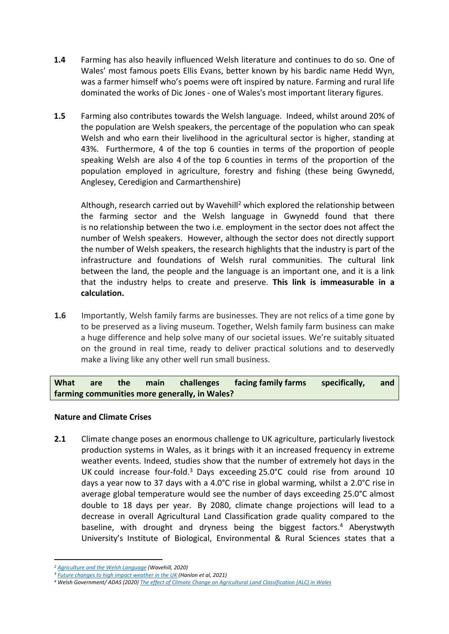- **1.4** Farming has also heavily influenced Welsh literature and continues to do so. One of Wales' most famous poets Ellis Evans, better known by his bardic name Hedd Wyn, was a farmer himself who's poems were oft inspired by nature. Farming and rural life dominated the works of Dic Jones - one of Wales's most important literary figures.
- **1.5** Farming also contributes towards the Welsh language. Indeed, whilst around 20% of the population are Welsh speakers, the percentage of the population who can speak Welsh and who earn their livelihood in the agricultural sector is higher, standing at 43%. Furthermore, 4 of the top 6 counties in terms of the proportion of people speaking Welsh are also 4 of the top 6 counties in terms of the proportion of the population employed in agriculture, forestry and fishing (these being Gwynedd, Anglesey, Ceredigion and Carmarthenshire)

Although, research carried out by Wavehill<sup>2</sup> which explored the relationship between the farming sector and the Welsh language in Gwynedd found that there is no relationship between the two i.e. employment in the sector does not affect the number of Welsh speakers. However, although the sector does not directly support the number of Welsh speakers, the research highlights that the industry is part of the infrastructure and foundations of Welsh rural communities. The cultural link between the land, the people and the language is an important one, and it is a link that the industry helps to create and preserve. **This link is immeasurable in a calculation.**

**1.6** Importantly, Welsh family farms are businesses. They are not relics of a time gone by to be preserved as a living museum. Together, Welsh family farm business can make a huge difference and help solve many of our societal issues. We're suitably situated on the ground in real time, ready to deliver practical solutions and to deservedly make a living like any other well run small business.

**What are the main challenges facing family farms specifically, and farming communities more generally, in Wales?**

# **Nature and Climate Crises**

**2.1** Climate change poses an enormous challenge to UK agriculture, particularly livestock production systems in Wales, as it brings with it an increased frequency in extreme weather events. Indeed, studies show that the number of extremely hot days in the UK could increase four-fold.<sup>3</sup> Days exceeding 25.0°C could rise from around 10 days a year now to 37 days with a 4.0°C rise in global warming, whilst a 2.0°C rise in average global temperature would see the number of days exceeding 25.0°C almost double to 18 days per year. By 2080, climate change projections will lead to a decrease in overall Agricultural Land Classification grade quality compared to the baseline, with drought and dryness being the biggest factors.<sup>4</sup> Aberystwyth University's Institute of Biological, Environmental & Rural Sciences states that a

*<sup>2</sup> [Agriculture](https://www.arsyllfa.cymru/agriculture-and-the-welsh-language/) [and](https://www.arsyllfa.cymru/agriculture-and-the-welsh-language/) [the](https://www.arsyllfa.cymru/agriculture-and-the-welsh-language/) [Welsh](https://www.arsyllfa.cymru/agriculture-and-the-welsh-language/) [Language](https://www.arsyllfa.cymru/agriculture-and-the-welsh-language/) (Wavehill, 2020)*

*<sup>3</sup> [Future](https://link.springer.com/article/10.1007/s10584-021-03100-5) [changes](https://link.springer.com/article/10.1007/s10584-021-03100-5) [to](https://link.springer.com/article/10.1007/s10584-021-03100-5) [high](https://link.springer.com/article/10.1007/s10584-021-03100-5) [impact](https://link.springer.com/article/10.1007/s10584-021-03100-5) [weather](https://link.springer.com/article/10.1007/s10584-021-03100-5) [in](https://link.springer.com/article/10.1007/s10584-021-03100-5) [the](https://link.springer.com/article/10.1007/s10584-021-03100-5) [UK](https://link.springer.com/article/10.1007/s10584-021-03100-5) (Hanlon et al, 2021)*

<sup>&</sup>lt;sup>4</sup> Welsh Government/ ADAS (2020) [The](https://gov.wales/sites/default/files/publications/2021-04/agricultural-land-classification-projected-effect-climate-change.pdf) [effect](https://gov.wales/sites/default/files/publications/2021-04/agricultural-land-classification-projected-effect-climate-change.pdf) [of](https://gov.wales/sites/default/files/publications/2021-04/agricultural-land-classification-projected-effect-climate-change.pdf) [Climate](https://gov.wales/sites/default/files/publications/2021-04/agricultural-land-classification-projected-effect-climate-change.pdf) [Change](https://gov.wales/sites/default/files/publications/2021-04/agricultural-land-classification-projected-effect-climate-change.pdf) [on](https://gov.wales/sites/default/files/publications/2021-04/agricultural-land-classification-projected-effect-climate-change.pdf) [Agricultural](https://gov.wales/sites/default/files/publications/2021-04/agricultural-land-classification-projected-effect-climate-change.pdf) [Land](https://gov.wales/sites/default/files/publications/2021-04/agricultural-land-classification-projected-effect-climate-change.pdf) [Classification](https://gov.wales/sites/default/files/publications/2021-04/agricultural-land-classification-projected-effect-climate-change.pdf) [\(ALC\)](https://gov.wales/sites/default/files/publications/2021-04/agricultural-land-classification-projected-effect-climate-change.pdf) [in](https://gov.wales/sites/default/files/publications/2021-04/agricultural-land-classification-projected-effect-climate-change.pdf) [Wales](https://gov.wales/sites/default/files/publications/2021-04/agricultural-land-classification-projected-effect-climate-change.pdf)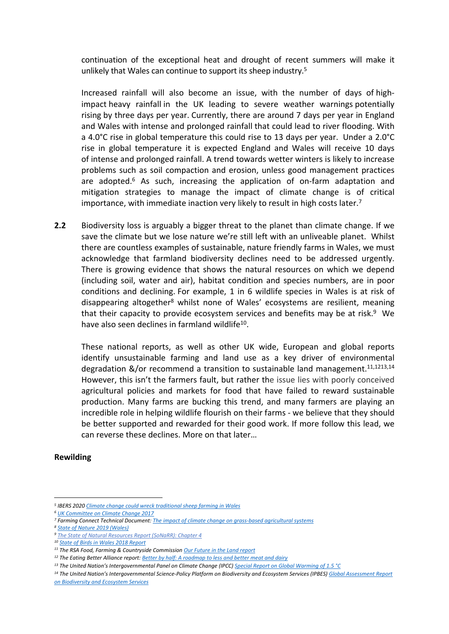continuation of the exceptional heat and drought of recent summers will make it unlikely that Wales can continue to support its sheep industry.<sup>5</sup>

Increased rainfall will also become an issue, with the number of days of highimpact heavy rainfall in the UK leading to severe weather warnings potentially rising by three days per year. Currently, there are around 7 days per year in England and Wales with intense and prolonged rainfall that could lead to river flooding. With a 4.0°C rise in global temperature this could rise to 13 days per year. Under a 2.0°C rise in global temperature it is expected England and Wales will receive 10 days of intense and prolonged rainfall. A trend towards wetter winters is likely to increase problems such as soil compaction and erosion, unless good management practices are adopted.<sup>6</sup> As such, increasing the application of on-farm adaptation and mitigation strategies to manage the impact of climate change is of critical importance, with immediate inaction very likely to result in high costs later.<sup>7</sup>

**2.2** Biodiversity loss is arguably a bigger threat to the planet than climate change. If we save the climate but we lose nature we're still left with an unliveable planet. Whilst there are countless examples of sustainable, nature friendly farms in Wales, we must acknowledge that farmland biodiversity declines need to be addressed urgently. There is growing evidence that shows the natural resources on which we depend (including soil, water and air), habitat condition and species numbers, are in poor conditions and declining. For example, 1 in 6 wildlife species in Wales is at risk of disappearing altogether<sup>8</sup> whilst none of Wales' ecosystems are resilient, meaning that their capacity to provide ecosystem services and benefits may be at risk.<sup>9</sup> We have also seen declines in farmland wildlife<sup>10</sup>.

These national reports, as well as other UK wide, European and global reports identify unsustainable farming and land use as a key driver of environmental degradation &/or recommend a transition to sustainable land management.<sup>11,1213,14</sup> However, this isn't the farmers fault, but rather the issue lies with poorly conceived agricultural policies and markets for food that have failed to reward sustainable production. Many farms are bucking this trend, and many farmers are playing an incredible role in helping wildlife flourish on their farms - we believe that they should be better supported and rewarded for their good work. If more follow this lead, we can reverse these declines. More on that later…

#### **Rewilding**

*<sup>5</sup> IBERS 2020 [Climate](https://www.aber.ac.uk/en/news/archive/2020/05/title-232243-en.html) [change](https://www.aber.ac.uk/en/news/archive/2020/05/title-232243-en.html) [could](https://www.aber.ac.uk/en/news/archive/2020/05/title-232243-en.html) [wreck](https://www.aber.ac.uk/en/news/archive/2020/05/title-232243-en.html) [traditional](https://www.aber.ac.uk/en/news/archive/2020/05/title-232243-en.html) [sheep](https://www.aber.ac.uk/en/news/archive/2020/05/title-232243-en.html) [farming](https://www.aber.ac.uk/en/news/archive/2020/05/title-232243-en.html) [in](https://www.aber.ac.uk/en/news/archive/2020/05/title-232243-en.html) [Wales](https://www.aber.ac.uk/en/news/archive/2020/05/title-232243-en.html)*

*<sup>6</sup> [UK](https://www.theccc.org.uk/wp-content/uploads/2016/07/UK-CCRA-2017-Synthesis-Report-Committee-on-Climate-Change.pdf) [Committee](https://www.theccc.org.uk/wp-content/uploads/2016/07/UK-CCRA-2017-Synthesis-Report-Committee-on-Climate-Change.pdf) [on](https://www.theccc.org.uk/wp-content/uploads/2016/07/UK-CCRA-2017-Synthesis-Report-Committee-on-Climate-Change.pdf) [Climate](https://www.theccc.org.uk/wp-content/uploads/2016/07/UK-CCRA-2017-Synthesis-Report-Committee-on-Climate-Change.pdf) [Change](https://www.theccc.org.uk/wp-content/uploads/2016/07/UK-CCRA-2017-Synthesis-Report-Committee-on-Climate-Change.pdf) [2017](https://www.theccc.org.uk/wp-content/uploads/2016/07/UK-CCRA-2017-Synthesis-Report-Committee-on-Climate-Change.pdf)*

*<sup>7</sup> Farming Connect Technical Document: [The](https://businesswales.gov.wales/farmingconnect/news-and-events/technical-articles/1-impact-climate-change-grass-based-agricultural-systems) [impact](https://businesswales.gov.wales/farmingconnect/news-and-events/technical-articles/1-impact-climate-change-grass-based-agricultural-systems) [of](https://businesswales.gov.wales/farmingconnect/news-and-events/technical-articles/1-impact-climate-change-grass-based-agricultural-systems) [climate](https://businesswales.gov.wales/farmingconnect/news-and-events/technical-articles/1-impact-climate-change-grass-based-agricultural-systems) [change](https://businesswales.gov.wales/farmingconnect/news-and-events/technical-articles/1-impact-climate-change-grass-based-agricultural-systems) [on](https://businesswales.gov.wales/farmingconnect/news-and-events/technical-articles/1-impact-climate-change-grass-based-agricultural-systems) [grass-based](https://businesswales.gov.wales/farmingconnect/news-and-events/technical-articles/1-impact-climate-change-grass-based-agricultural-systems) [agricultural](https://businesswales.gov.wales/farmingconnect/news-and-events/technical-articles/1-impact-climate-change-grass-based-agricultural-systems) [systems](https://businesswales.gov.wales/farmingconnect/news-and-events/technical-articles/1-impact-climate-change-grass-based-agricultural-systems)*

*<sup>8</sup> [State](https://nbn.org.uk/wp-content/uploads/2019/09/State-of-Nature-2019-Wales-summary.pdf) [of](https://nbn.org.uk/wp-content/uploads/2019/09/State-of-Nature-2019-Wales-summary.pdf) [Nature](https://nbn.org.uk/wp-content/uploads/2019/09/State-of-Nature-2019-Wales-summary.pdf) [2019](https://nbn.org.uk/wp-content/uploads/2019/09/State-of-Nature-2019-Wales-summary.pdf) [\(Wales\)](https://nbn.org.uk/wp-content/uploads/2019/09/State-of-Nature-2019-Wales-summary.pdf)*

*<sup>9</sup> [The](https://cdn.naturalresources.wales/media/679405/chapter-4-resilience-final-for-publication.pdf) [State](https://cdn.naturalresources.wales/media/679405/chapter-4-resilience-final-for-publication.pdf) [of](https://cdn.naturalresources.wales/media/679405/chapter-4-resilience-final-for-publication.pdf) [Natural](https://cdn.naturalresources.wales/media/679405/chapter-4-resilience-final-for-publication.pdf) [Resources](https://cdn.naturalresources.wales/media/679405/chapter-4-resilience-final-for-publication.pdf) [Report](https://cdn.naturalresources.wales/media/679405/chapter-4-resilience-final-for-publication.pdf) [\(SoNaRR\):](https://cdn.naturalresources.wales/media/679405/chapter-4-resilience-final-for-publication.pdf) [Chapter](https://cdn.naturalresources.wales/media/679405/chapter-4-resilience-final-for-publication.pdf) [4](https://cdn.naturalresources.wales/media/679405/chapter-4-resilience-final-for-publication.pdf)*

*<sup>10</sup> [State](https://www.bto.org/our-science/publications/state-birds-wales/state-birds-wales-2018) [of](https://www.bto.org/our-science/publications/state-birds-wales/state-birds-wales-2018) [Birds](https://www.bto.org/our-science/publications/state-birds-wales/state-birds-wales-2018) [in](https://www.bto.org/our-science/publications/state-birds-wales/state-birds-wales-2018) [Wales](https://www.bto.org/our-science/publications/state-birds-wales/state-birds-wales-2018) [2018](https://www.bto.org/our-science/publications/state-birds-wales/state-birds-wales-2018) [Report](https://www.bto.org/our-science/publications/state-birds-wales/state-birds-wales-2018)*

*<sup>11</sup> The RSA Food, Farming & Countryside Commission [Our](https://www.thersa.org/reports/future-land) [Future](https://www.thersa.org/reports/future-land) [in](https://www.thersa.org/reports/future-land) [the](https://www.thersa.org/reports/future-land) [Land](https://www.thersa.org/reports/future-land) [report](https://www.thersa.org/reports/future-land)*

*<sup>12</sup> The Eating Better Alliance report: [Better](https://www.eating-better.org/betterbyhalf) [by](https://www.eating-better.org/betterbyhalf) [half:](https://www.eating-better.org/betterbyhalf) [A](https://www.eating-better.org/betterbyhalf) [roadmap](https://www.eating-better.org/betterbyhalf) [to](https://www.eating-better.org/betterbyhalf) [less](https://www.eating-better.org/betterbyhalf) [and](https://www.eating-better.org/betterbyhalf) [better](https://www.eating-better.org/betterbyhalf) [meat](https://www.eating-better.org/betterbyhalf) [and](https://www.eating-better.org/betterbyhalf) [dairy](https://www.eating-better.org/betterbyhalf)*

<sup>&</sup>lt;sup>13</sup> The United Nation's Intergovernmental Panel on Climate Change (IPCC) [Special](https://www.ipcc.ch/sr15/) [Report](https://www.ipcc.ch/sr15/) [on](https://www.ipcc.ch/sr15/) [Global](https://www.ipcc.ch/sr15/) [Warming](https://www.ipcc.ch/sr15/) [of](https://www.ipcc.ch/sr15/) [1.5](https://www.ipcc.ch/sr15/) [°C](https://www.ipcc.ch/sr15/)

<sup>&</sup>lt;sup>14</sup> The United Nation's Intergovernmental Science-Policy Platform on Biodiversity and Ecosystem Services (IPBES) [Global](https://ipbes.net/global-assessment) [Assessment](https://ipbes.net/global-assessment) [Report](https://ipbes.net/global-assessment) *[on](https://ipbes.net/global-assessment) [Biodiversity](https://ipbes.net/global-assessment) [and](https://ipbes.net/global-assessment) [Ecosystem](https://ipbes.net/global-assessment) [Services](https://ipbes.net/global-assessment)*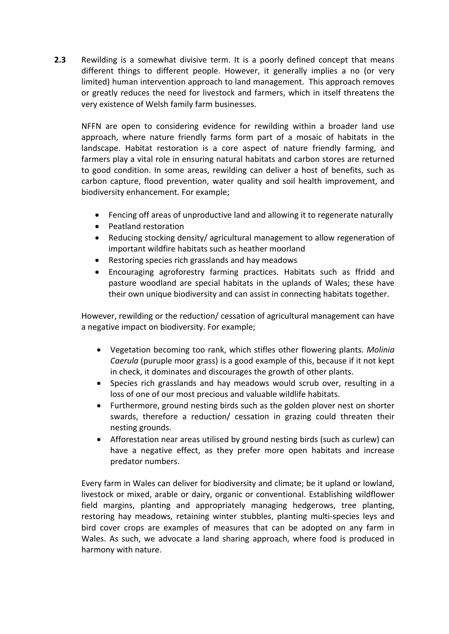**2.3** Rewilding is a somewhat divisive term. It is a poorly defined concept that means different things to different people. However, it generally implies a no (or very limited) human intervention approach to land management. This approach removes or greatly reduces the need for livestock and farmers, which in itself threatens the very existence of Welsh family farm businesses.

NFFN are open to considering evidence for rewilding within a broader land use approach, where nature friendly farms form part of a mosaic of habitats in the landscape. Habitat restoration is a core aspect of nature friendly farming, and farmers play a vital role in ensuring natural habitats and carbon stores are returned to good condition. In some areas, rewilding can deliver a host of benefits, such as carbon capture, flood prevention, water quality and soil health improvement, and biodiversity enhancement. For example;

- Fencing off areas of unproductive land and allowing it to regenerate naturally
- Peatland restoration
- Reducing stocking density/ agricultural management to allow regeneration of important wildfire habitats such as heather moorland
- Restoring species rich grasslands and hay meadows
- Encouraging agroforestry farming practices. Habitats such as ffridd and pasture woodland are special habitats in the uplands of Wales; these have their own unique biodiversity and can assist in connecting habitats together.

However, rewilding or the reduction/ cessation of agricultural management can have a negative impact on biodiversity. For example;

- Vegetation becoming too rank, which stifles other flowering plants. *Molinia Caerula* (puruple moor grass) is a good example of this, because if it not kept in check, it dominates and discourages the growth of other plants.
- Species rich grasslands and hay meadows would scrub over, resulting in a loss of one of our most precious and valuable wildlife habitats.
- Furthermore, ground nesting birds such as the golden plover nest on shorter swards, therefore a reduction/ cessation in grazing could threaten their nesting grounds.
- Afforestation near areas utilised by ground nesting birds (such as curlew) can have a negative effect, as they prefer more open habitats and increase predator numbers.

Every farm in Wales can deliver for biodiversity and climate; be it upland or lowland, livestock or mixed, arable or dairy, organic or conventional. Establishing wildflower field margins, planting and appropriately managing hedgerows, tree planting, restoring hay meadows, retaining winter stubbles, planting multi-species leys and bird cover crops are examples of measures that can be adopted on any farm in Wales. As such, we advocate a land sharing approach, where food is produced in harmony with nature.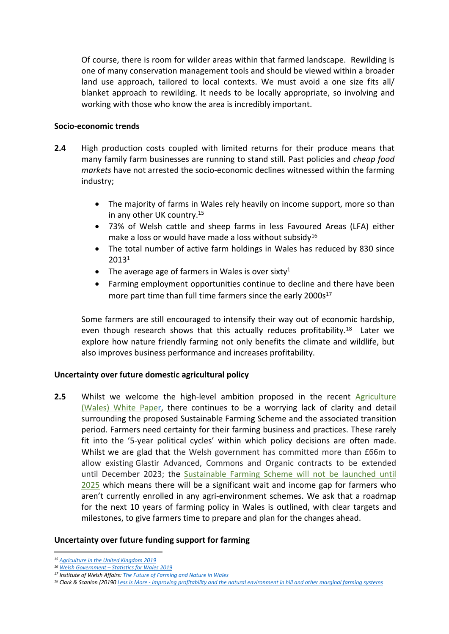Of course, there is room for wilder areas within that farmed landscape. Rewilding is one of many conservation management tools and should be viewed within a broader land use approach, tailored to local contexts. We must avoid a one size fits all/ blanket approach to rewilding. It needs to be locally appropriate, so involving and working with those who know the area is incredibly important.

#### **Socio-economic trends**

- **2.4** High production costs coupled with limited returns for their produce means that many family farm businesses are running to stand still. Past policies and *cheap food markets* have not arrested the socio-economic declines witnessed within the farming industry;
	- The majority of farms in Wales rely heavily on income support, more so than in any other UK country.<sup>15</sup>
	- 73% of Welsh cattle and sheep farms in less Favoured Areas (LFA) either make a loss or would have made a loss without subsidy<sup>16</sup>
	- The total number of active farm holdings in Wales has reduced by 830 since 2013[1](#page-1-0)
	- The average age of farmers in Wales is over sixty<sup>[1](#page-1-0)</sup>
	- Farming employment opportunities continue to decline and there have been more part time than full time farmers since the early 2000s<sup>17</sup>

<span id="page-5-0"></span>Some farmers are still encouraged to intensify their way out of economic hardship, even though research shows that this actually reduces profitability.<sup>18</sup> Later we explore how nature friendly farming not only benefits the climate and wildlife, but also improves business performance and increases profitability.

## **Uncertainty over future domestic agricultural policy**

**2.5** Whilst we welcome the high-level ambition proposed in the recent [Agriculture](https://gov.wales/sites/default/files/consultations/2020-12/agriculture-wales-bill-white-paper.pdf) [\(Wales\)](https://gov.wales/sites/default/files/consultations/2020-12/agriculture-wales-bill-white-paper.pdf) [White](https://gov.wales/sites/default/files/consultations/2020-12/agriculture-wales-bill-white-paper.pdf) [Paper,](https://gov.wales/sites/default/files/consultations/2020-12/agriculture-wales-bill-white-paper.pdf) there continues to be a worrying lack of clarity and detail surrounding the proposed Sustainable Farming Scheme and the associated transition period. Farmers need certainty for their farming business and practices. These rarely fit into the '5-year political cycles' within which policy decisions are often made. Whilst we are glad that the Welsh government has committed more than £66m to allow existing Glastir Advanced, Commons and Organic contracts to be extended until December 2023; the [Sustainable](https://gov.wales/rural-affairs-minister-sets-out-timeline-future-farm-support) [Farming](https://gov.wales/rural-affairs-minister-sets-out-timeline-future-farm-support) [Scheme](https://gov.wales/rural-affairs-minister-sets-out-timeline-future-farm-support) [will](https://gov.wales/rural-affairs-minister-sets-out-timeline-future-farm-support) [not](https://gov.wales/rural-affairs-minister-sets-out-timeline-future-farm-support) [be](https://gov.wales/rural-affairs-minister-sets-out-timeline-future-farm-support) [launched](https://gov.wales/rural-affairs-minister-sets-out-timeline-future-farm-support) [until](https://gov.wales/rural-affairs-minister-sets-out-timeline-future-farm-support) [2025](https://gov.wales/rural-affairs-minister-sets-out-timeline-future-farm-support) which means there will be a significant wait and income gap for farmers who aren't currently enrolled in any agri-environment schemes. We ask that a roadmap for the next 10 years of farming policy in Wales is outlined, with clear targets and milestones, to give farmers time to prepare and plan for the changes ahead.

#### **Uncertainty over future funding support for farming**

*<sup>15</sup> [Agriculture](https://www.gov.uk/government/statistics/agriculture-in-the-united-kingdom-2019) [in](https://www.gov.uk/government/statistics/agriculture-in-the-united-kingdom-2019) [the](https://www.gov.uk/government/statistics/agriculture-in-the-united-kingdom-2019) [United](https://www.gov.uk/government/statistics/agriculture-in-the-united-kingdom-2019) [Kingdom](https://www.gov.uk/government/statistics/agriculture-in-the-united-kingdom-2019) [2019](https://www.gov.uk/government/statistics/agriculture-in-the-united-kingdom-2019)*

*<sup>16</sup> [Welsh](https://gov.wales/sites/default/files/statistics-and-research/2019-12/farm-incomes-april-2018-march-2019-209.pdf) [Government](https://gov.wales/sites/default/files/statistics-and-research/2019-12/farm-incomes-april-2018-march-2019-209.pdf) [–](https://gov.wales/sites/default/files/statistics-and-research/2019-12/farm-incomes-april-2018-march-2019-209.pdf) [Statistics](https://gov.wales/sites/default/files/statistics-and-research/2019-12/farm-incomes-april-2018-march-2019-209.pdf) [for](https://gov.wales/sites/default/files/statistics-and-research/2019-12/farm-incomes-april-2018-march-2019-209.pdf) [Wales](https://gov.wales/sites/default/files/statistics-and-research/2019-12/farm-incomes-april-2018-march-2019-209.pdf) [2019](https://gov.wales/sites/default/files/statistics-and-research/2019-12/farm-incomes-april-2018-march-2019-209.pdf)*

*<sup>17</sup> Institute of Welsh Affairs: [The](https://www.iwa.wales/agenda/2019/03/the-future-of-farming-and-nature-in-wales/) [Future](https://www.iwa.wales/agenda/2019/03/the-future-of-farming-and-nature-in-wales/) [of](https://www.iwa.wales/agenda/2019/03/the-future-of-farming-and-nature-in-wales/) [Farming](https://www.iwa.wales/agenda/2019/03/the-future-of-farming-and-nature-in-wales/) [and](https://www.iwa.wales/agenda/2019/03/the-future-of-farming-and-nature-in-wales/) [Nature](https://www.iwa.wales/agenda/2019/03/the-future-of-farming-and-nature-in-wales/) [in](https://www.iwa.wales/agenda/2019/03/the-future-of-farming-and-nature-in-wales/) [Wales](https://www.iwa.wales/agenda/2019/03/the-future-of-farming-and-nature-in-wales/)*

<sup>&</sup>lt;sup>18</sup> Clark & Scanlon (20190 [Less](https://www.wildlifetrusts.org/sites/default/files/2019-11/Hill%20farm%20profitability%20report%20-%20FINAL%20agreed%2015%20Nov%2019.pdf) [is](https://www.wildlifetrusts.org/sites/default/files/2019-11/Hill%20farm%20profitability%20report%20-%20FINAL%20agreed%2015%20Nov%2019.pdf) [More](https://www.wildlifetrusts.org/sites/default/files/2019-11/Hill%20farm%20profitability%20report%20-%20FINAL%20agreed%2015%20Nov%2019.pdf) [-](https://www.wildlifetrusts.org/sites/default/files/2019-11/Hill%20farm%20profitability%20report%20-%20FINAL%20agreed%2015%20Nov%2019.pdf) [Improving](https://www.wildlifetrusts.org/sites/default/files/2019-11/Hill%20farm%20profitability%20report%20-%20FINAL%20agreed%2015%20Nov%2019.pdf) [profitability](https://www.wildlifetrusts.org/sites/default/files/2019-11/Hill%20farm%20profitability%20report%20-%20FINAL%20agreed%2015%20Nov%2019.pdf) [and](https://www.wildlifetrusts.org/sites/default/files/2019-11/Hill%20farm%20profitability%20report%20-%20FINAL%20agreed%2015%20Nov%2019.pdf) [the](https://www.wildlifetrusts.org/sites/default/files/2019-11/Hill%20farm%20profitability%20report%20-%20FINAL%20agreed%2015%20Nov%2019.pdf) [natural](https://www.wildlifetrusts.org/sites/default/files/2019-11/Hill%20farm%20profitability%20report%20-%20FINAL%20agreed%2015%20Nov%2019.pdf) [environment](https://www.wildlifetrusts.org/sites/default/files/2019-11/Hill%20farm%20profitability%20report%20-%20FINAL%20agreed%2015%20Nov%2019.pdf) [in](https://www.wildlifetrusts.org/sites/default/files/2019-11/Hill%20farm%20profitability%20report%20-%20FINAL%20agreed%2015%20Nov%2019.pdf) [hill](https://www.wildlifetrusts.org/sites/default/files/2019-11/Hill%20farm%20profitability%20report%20-%20FINAL%20agreed%2015%20Nov%2019.pdf) and [other](https://www.wildlifetrusts.org/sites/default/files/2019-11/Hill%20farm%20profitability%20report%20-%20FINAL%20agreed%2015%20Nov%2019.pdf) [marginal](https://www.wildlifetrusts.org/sites/default/files/2019-11/Hill%20farm%20profitability%20report%20-%20FINAL%20agreed%2015%20Nov%2019.pdf) [farming](https://www.wildlifetrusts.org/sites/default/files/2019-11/Hill%20farm%20profitability%20report%20-%20FINAL%20agreed%2015%20Nov%2019.pdf) [systems](https://www.wildlifetrusts.org/sites/default/files/2019-11/Hill%20farm%20profitability%20report%20-%20FINAL%20agreed%2015%20Nov%2019.pdf)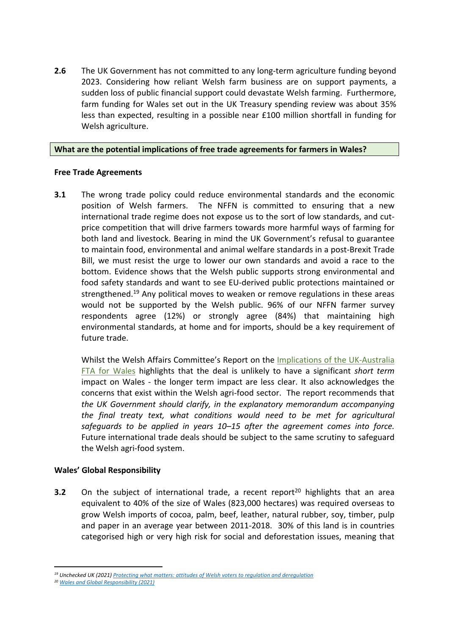**2.6** The UK Government has not committed to any long-term agriculture funding beyond 2023. Considering how reliant Welsh farm business are on support payments, a sudden loss of public financial support could devastate Welsh farming. Furthermore, farm funding for Wales set out in the UK Treasury spending review was about 35% less than expected, resulting in a possible near £100 million shortfall in funding for Welsh agriculture.

## **What are the potential implications of free trade agreements for farmers in Wales?**

## **Free Trade Agreements**

**3.1** The wrong trade policy could reduce environmental standards and the economic position of Welsh farmers. The NFFN is committed to ensuring that a new international trade regime does not expose us to the sort of low standards, and cutprice competition that will drive farmers towards more harmful ways of farming for both land and livestock. Bearing in mind the UK Government's refusal to guarantee to maintain food, environmental and animal welfare standards in a post-Brexit Trade Bill, we must resist the urge to lower our own standards and avoid a race to the bottom. Evidence shows that the Welsh public supports strong environmental and food safety standards and want to see EU-derived public protections maintained or strengthened.<sup>19</sup> Any political moves to weaken or remove regulations in these areas would not be supported by the Welsh public. 96% of our NFFN farmer survey respondents agree (12%) or strongly agree (84%) that maintaining high environmental standards, at home and for imports, should be a key requirement of future trade.

Whilst the Welsh Affairs Committee's Report on the [Implications](https://committees.parliament.uk/publications/7027/documents/72981/default/) [of](https://committees.parliament.uk/publications/7027/documents/72981/default/) [the](https://committees.parliament.uk/publications/7027/documents/72981/default/) [UK-Australia](https://committees.parliament.uk/publications/7027/documents/72981/default/) [FTA](https://committees.parliament.uk/publications/7027/documents/72981/default/) [for](https://committees.parliament.uk/publications/7027/documents/72981/default/) [Wales](https://committees.parliament.uk/publications/7027/documents/72981/default/) highlights that the deal is unlikely to have a significant *short term* impact on Wales - the longer term impact are less clear. It also acknowledges the concerns that exist within the Welsh agri-food sector. The report recommends that *the UK Government should clarify, in the explanatory memorandum accompanying the final treaty text, what conditions would need to be met for agricultural safeguards to be applied in years 10–15 after the agreement comes into force.* Future international trade deals should be subject to the same scrutiny to safeguard the Welsh agri-food system.

# **Wales' Global Responsibility**

**3.2** On the subiect of international trade, a recent report<sup>20</sup> highlights that an area equivalent to 40% of the size of Wales (823,000 hectares) was required overseas to grow Welsh imports of cocoa, palm, beef, leather, natural rubber, soy, timber, pulp and paper in an average year between 2011-2018. 30% of this land is in countries categorised high or very high risk for social and deforestation issues, meaning that

*<sup>19</sup> Unchecked UK (2021) [Protecting](https://unchecked.uk/wp-content/uploads/2021/03/Unchecked-UK-Attitudes-of-Welsh-voters-to-regulation-and-deregulation.pdf) [what](https://unchecked.uk/wp-content/uploads/2021/03/Unchecked-UK-Attitudes-of-Welsh-voters-to-regulation-and-deregulation.pdf) [matters:](https://unchecked.uk/wp-content/uploads/2021/03/Unchecked-UK-Attitudes-of-Welsh-voters-to-regulation-and-deregulation.pdf) [attitudes](https://unchecked.uk/wp-content/uploads/2021/03/Unchecked-UK-Attitudes-of-Welsh-voters-to-regulation-and-deregulation.pdf) [of](https://unchecked.uk/wp-content/uploads/2021/03/Unchecked-UK-Attitudes-of-Welsh-voters-to-regulation-and-deregulation.pdf) [Welsh](https://unchecked.uk/wp-content/uploads/2021/03/Unchecked-UK-Attitudes-of-Welsh-voters-to-regulation-and-deregulation.pdf) [voters](https://unchecked.uk/wp-content/uploads/2021/03/Unchecked-UK-Attitudes-of-Welsh-voters-to-regulation-and-deregulation.pdf) [to](https://unchecked.uk/wp-content/uploads/2021/03/Unchecked-UK-Attitudes-of-Welsh-voters-to-regulation-and-deregulation.pdf) [regulation](https://unchecked.uk/wp-content/uploads/2021/03/Unchecked-UK-Attitudes-of-Welsh-voters-to-regulation-and-deregulation.pdf) [and](https://unchecked.uk/wp-content/uploads/2021/03/Unchecked-UK-Attitudes-of-Welsh-voters-to-regulation-and-deregulation.pdf) [deregulation](https://unchecked.uk/wp-content/uploads/2021/03/Unchecked-UK-Attitudes-of-Welsh-voters-to-regulation-and-deregulation.pdf)*

*<sup>20</sup> [Wales](https://www.wwf.org.uk/sites/default/files/2021-10/WalesandGlobalResponsibility.pdf) [and](https://www.wwf.org.uk/sites/default/files/2021-10/WalesandGlobalResponsibility.pdf) [Global](https://www.wwf.org.uk/sites/default/files/2021-10/WalesandGlobalResponsibility.pdf) [Responsibility](https://www.wwf.org.uk/sites/default/files/2021-10/WalesandGlobalResponsibility.pdf) [\(2021\)](https://www.wwf.org.uk/sites/default/files/2021-10/WalesandGlobalResponsibility.pdf)*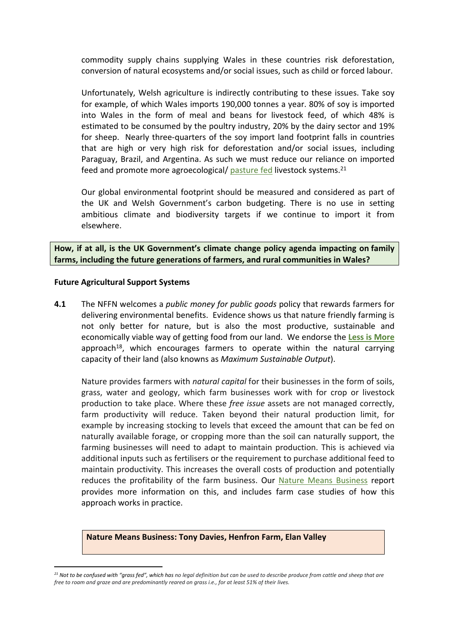commodity supply chains supplying Wales in these countries risk deforestation, conversion of natural ecosystems and/or social issues, such as child or forced labour.

Unfortunately, Welsh agriculture is indirectly contributing to these issues. Take soy for example, of which Wales imports 190,000 tonnes a year. 80% of soy is imported into Wales in the form of meal and beans for livestock feed, of which 48% is estimated to be consumed by the poultry industry, 20% by the dairy sector and 19% for sheep. Nearly three-quarters of the soy import land footprint falls in countries that are high or very high risk for deforestation and/or social issues, including Paraguay, Brazil, and Argentina. As such we must reduce our reliance on imported feed and promote more agroecological/ [pasture](https://www.pastureforlife.org/) [fed](https://www.pastureforlife.org/) livestock systems.<sup>21</sup>

Our global environmental footprint should be measured and considered as part of the UK and Welsh Government's carbon budgeting. There is no use in setting ambitious climate and biodiversity targets if we continue to import it from elsewhere.

**How, if at all, is the UK Government's climate change policy agenda impacting on family farms, including the future generations of farmers, and rural communities in Wales?**

#### **Future Agricultural Support Systems**

**4.1** The NFFN welcomes a *public money for public goods* policy that rewards farmers for delivering environmental benefits. Evidence shows us that nature friendly farming is not only better for nature, but is also the most productive, sustainable and economically viable way of getting food from our land. We endorse the **[Less](https://www.nffn.org.uk/wp-content/uploads/2020/09/Less-is-More.pdf) [is](https://www.nffn.org.uk/wp-content/uploads/2020/09/Less-is-More.pdf) [More](https://www.nffn.org.uk/wp-content/uploads/2020/09/Less-is-More.pdf)** approach<sup>[18](#page-5-0)</sup>, which encourages farmers to operate within the natural carrying capacity of their land (also knowns as *Maximum Sustainable Output*).

Nature provides farmers with *natural capital* for their businesses in the form of soils, grass, water and geology, which farm businesses work with for crop or livestock production to take place. Where these *free issue* assets are not managed correctly, farm productivity will reduce. Taken beyond their natural production limit, for example by increasing stocking to levels that exceed the amount that can be fed on naturally available forage, or cropping more than the soil can naturally support, the farming businesses will need to adapt to maintain production. This is achieved via additional inputs such as fertilisers or the requirement to purchase additional feed to maintain productivity. This increases the overall costs of production and potentially reduces the profitability of the farm business. Our [Nature](https://www.nffn.org.uk/wp-content/uploads/2020/10/20012-NFFN-Report-Nature-means-business-DIGITAL-1.pdf) [Means](https://www.nffn.org.uk/wp-content/uploads/2020/10/20012-NFFN-Report-Nature-means-business-DIGITAL-1.pdf) [Business](https://www.nffn.org.uk/wp-content/uploads/2020/10/20012-NFFN-Report-Nature-means-business-DIGITAL-1.pdf) report provides more information on this, and includes farm case studies of how this approach works in practice.

**Nature Means Business: Tony Davies, Henfron Farm, Elan Valley**

<sup>&</sup>lt;sup>21</sup> Not to be confused with "grass fed", which has no legal definition but can be used to describe produce from cattle and sheep that are free to roam and graze and are predominantly reared on grass i.e., for at least 51% of their lives.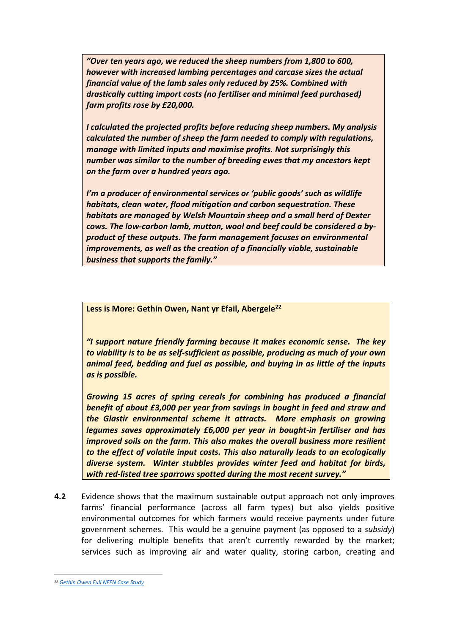*"Over ten years ago, we reduced the sheep numbers from 1,800 to 600, however with increased lambing percentages and carcase sizes the actual financial value of the lamb sales only reduced by 25%. Combined with drastically cutting import costs (no fertiliser and minimal feed purchased) farm profits rose by £20,000.*

*I calculated the projected profits before reducing sheep numbers. My analysis calculated the number of sheep the farm needed to comply with regulations, manage with limited inputs and maximise profits. Not surprisingly this number was similar to the number of breeding ewes that my ancestors kept on the farm over a hundred years ago.*

*I'm a producer of environmental services or 'public goods' such as wildlife habitats, clean water, flood mitigation and carbon sequestration. These habitats are managed by Welsh Mountain sheep and a small herd of Dexter cows. The low-carbon lamb, mutton, wool and beef could be considered a byproduct of these outputs. The farm management focuses on environmental improvements, as well as the creation of a financially viable, sustainable business that supports the family."*

**Less is More: Gethin Owen, Nant yr Efail, Abergele<sup>22</sup>**

*"I support nature friendly farming because it makes economic sense. The key to viability is to be as self-sufficient as possible, producing as much of your own animal feed, bedding and fuel as possible, and buying in as little of the inputs as is possible.*

*Growing 15 acres of spring cereals for combining has produced a financial benefit of about £3,000 per year from savings in bought in feed and straw and the Glastir environmental scheme it attracts. More emphasis on growing legumes saves approximately £6,000 per year in bought-in fertiliser and has improved soils on the farm. This also makes the overall business more resilient to the effect of volatile input costs. This also naturally leads to an ecologically diverse system. Winter stubbles provides winter feed and habitat for birds, with red-listed tree sparrows spotted during the most recent survey."*

**4.2** Evidence shows that the maximum sustainable output approach not only improves farms' financial performance (across all farm types) but also yields positive environmental outcomes for which farmers would receive payments under future government schemes. This would be a genuine payment (as opposed to a *subsidy*) for delivering multiple benefits that aren't currently rewarded by the market; services such as improving air and water quality, storing carbon, creating and

*<sup>22</sup> [Gethin](https://www.nffn.org.uk/wp-content/uploads/2020/01/NFFN_report_v7.2-owen.pdf) [Owen](https://www.nffn.org.uk/wp-content/uploads/2020/01/NFFN_report_v7.2-owen.pdf) [Full](https://www.nffn.org.uk/wp-content/uploads/2020/01/NFFN_report_v7.2-owen.pdf) [NFFN](https://www.nffn.org.uk/wp-content/uploads/2020/01/NFFN_report_v7.2-owen.pdf) [Case](https://www.nffn.org.uk/wp-content/uploads/2020/01/NFFN_report_v7.2-owen.pdf) [Study](https://www.nffn.org.uk/wp-content/uploads/2020/01/NFFN_report_v7.2-owen.pdf)*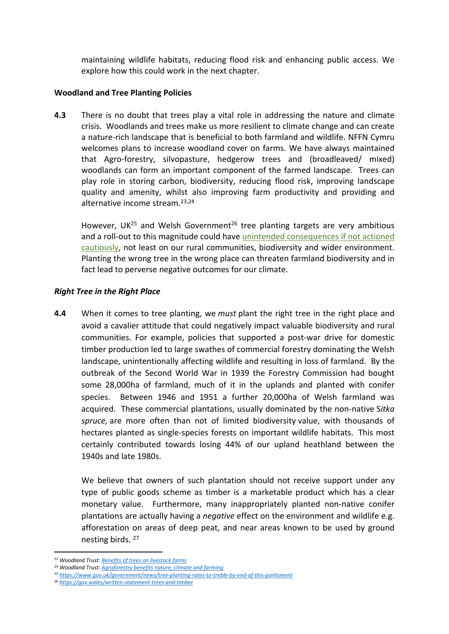maintaining wildlife habitats, reducing flood risk and enhancing public access. We explore how this could work in the next chapter.

## **Woodland and Tree Planting Policies**

**4.3** There is no doubt that trees play a vital role in addressing the nature and climate crisis. Woodlands and trees make us more resilient to climate change and can create a nature-rich landscape that is beneficial to both farmland and wildlife. NFFN Cymru welcomes plans to increase woodland cover on farms. We have always maintained that Agro-forestry, silvopasture, hedgerow trees and (broadleaved/ mixed) woodlands can form an important component of the farmed landscape. Trees can play role in storing carbon, biodiversity, reducing flood risk, improving landscape quality and amenity, whilst also improving farm productivity and providing and alternative income stream.23,24

However, UK<sup>25</sup> and Welsh Government<sup>26</sup> tree planting targets are very ambitious and a roll-out to this magnitude could have [unintended](https://www.nffn.org.uk/wales-tree-planting-not-a-silver-bullet-for-tackling-climate-change/) [consequences](https://www.nffn.org.uk/wales-tree-planting-not-a-silver-bullet-for-tackling-climate-change/) [if](https://www.nffn.org.uk/wales-tree-planting-not-a-silver-bullet-for-tackling-climate-change/) [not](https://www.nffn.org.uk/wales-tree-planting-not-a-silver-bullet-for-tackling-climate-change/) [actioned](https://www.nffn.org.uk/wales-tree-planting-not-a-silver-bullet-for-tackling-climate-change/) [cautiously](https://www.nffn.org.uk/wales-tree-planting-not-a-silver-bullet-for-tackling-climate-change/), not least on our rural communities, biodiversity and wider environment. Planting the wrong tree in the wrong place can threaten farmland biodiversity and in fact lead to perverse negative outcomes for our climate.

## *Right Tree in the Right Place*

**4.4** When it comes to tree planting, we *must* plant the right tree in the right place and avoid a cavalier attitude that could negatively impact valuable biodiversity and rural communities. For example, policies that supported a post-war drive for domestic timber production led to large swathes of commercial forestry dominating the Welsh landscape, unintentionally affecting wildlife and resulting in loss of farmland. By the outbreak of the Second World War in 1939 the Forestry Commission had bought some 28,000ha of farmland, much of it in the uplands and planted with conifer species. Between 1946 and 1951 a further 20,000ha of Welsh farmland was acquired. These commercial plantations, usually dominated by the non-native S*itka spruce,* are more often than not of limited biodiversity value, with thousands of hectares planted as single-species forests on important wildlife habitats. This most certainly contributed towards losing 44% of our upland heathland between the 1940s and late 1980s.

We believe that owners of such plantation should not receive support under any type of public goods scheme as timber is a marketable product which has a clear monetary value. Furthermore, many inappropriately planted non-native conifer plantations are actually having a *negative* effect on the environment and wildlife e.g. afforestation on areas of deep peat, and near areas known to be used by ground nesting birds. <sup>27</sup>

*<sup>23</sup> Woodland Trust: [Benefits](https://www.woodlandtrust.org.uk/media/1816/benefits-of-trees-on-livestock-farms.pdf) [of](https://www.woodlandtrust.org.uk/media/1816/benefits-of-trees-on-livestock-farms.pdf) [trees](https://www.woodlandtrust.org.uk/media/1816/benefits-of-trees-on-livestock-farms.pdf) [on](https://www.woodlandtrust.org.uk/media/1816/benefits-of-trees-on-livestock-farms.pdf) [livestock](https://www.woodlandtrust.org.uk/media/1816/benefits-of-trees-on-livestock-farms.pdf) [farms](https://www.woodlandtrust.org.uk/media/1816/benefits-of-trees-on-livestock-farms.pdf)*

*<sup>24</sup> Woodland Trust: [Agroforestry](https://www.woodlandtrust.org.uk/plant-trees/agroforestry-benefits/) [benefits](https://www.woodlandtrust.org.uk/plant-trees/agroforestry-benefits/) [nature,](https://www.woodlandtrust.org.uk/plant-trees/agroforestry-benefits/) [climate](https://www.woodlandtrust.org.uk/plant-trees/agroforestry-benefits/) [and](https://www.woodlandtrust.org.uk/plant-trees/agroforestry-benefits/) [farming](https://www.woodlandtrust.org.uk/plant-trees/agroforestry-benefits/)*

*<sup>25</sup> <https://www.gov.uk/government/news/tree-planting-rates-to-treble-by-end-of-this-parliament>*

*<sup>26</sup> <https://gov.wales/written-statement-trees-and-timber>*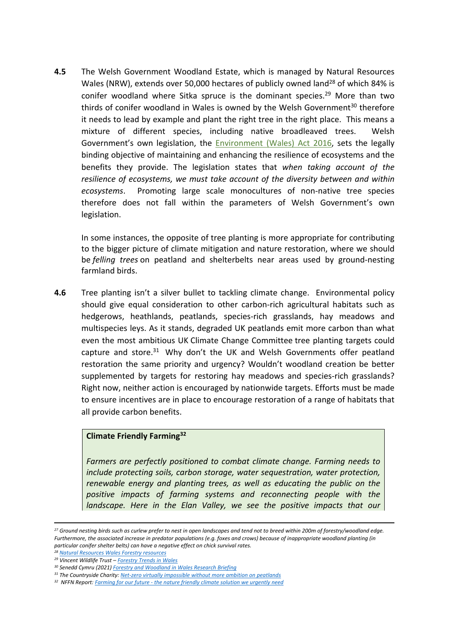**4.5** The Welsh Government Woodland Estate, which is managed by Natural Resources Wales (NRW), extends over 50,000 hectares of publicly owned land<sup>28</sup> of which 84% is conifer woodland where Sitka spruce is the dominant species.<sup>29</sup> More than two thirds of conifer woodland in Wales is owned by the Welsh Government $30$  therefore it needs to lead by example and plant the right tree in the right place. This means a mixture of different species, including native broadleaved trees. Welsh Government's own legislation, the [Environment](https://www.legislation.gov.uk/anaw/2016/3/contents) [\(Wales\)](https://www.legislation.gov.uk/anaw/2016/3/contents) [Act](https://www.legislation.gov.uk/anaw/2016/3/contents) [2016,](https://www.legislation.gov.uk/anaw/2016/3/contents) sets the legally binding objective of maintaining and enhancing the resilience of ecosystems and the benefits they provide. The legislation states that *when taking account of the resilience of ecosystems, we must take account of the diversity between and within ecosystems*. Promoting large scale monocultures of non-native tree species therefore does not fall within the parameters of Welsh Government's own legislation.

In some instances, the opposite of tree planting is more appropriate for contributing to the bigger picture of climate mitigation and nature restoration, where we should be *felling trees* on peatland and shelterbelts near areas used by ground-nesting farmland birds.

**4.6** Tree planting isn't a silver bullet to tackling climate change. Environmental policy should give equal consideration to other carbon-rich agricultural habitats such as hedgerows, heathlands, peatlands, species-rich grasslands, hay meadows and multispecies leys. As it stands, degraded UK peatlands emit more carbon than what even the most ambitious UK Climate Change Committee tree planting targets could capture and store.<sup>31</sup> Why don't the UK and Welsh Governments offer peatland restoration the same priority and urgency? Wouldn't woodland creation be better supplemented by targets for restoring hay meadows and species-rich grasslands? Right now, neither action is encouraged by nationwide targets. Efforts must be made to ensure incentives are in place to encourage restoration of a range of habitats that all provide carbon benefits.

#### **Climate Friendly Farming<sup>32</sup>**

*Farmers are perfectly positioned to combat climate change. Farming needs to include protecting soils, carbon storage, water sequestration, water protection, renewable energy and planting trees, as well as educating the public on the positive impacts of farming systems and reconnecting people with the landscape. Here in the Elan Valley, we see the positive impacts that our*

<sup>&</sup>lt;sup>27</sup> Ground nesting birds such as curlew prefer to nest in open landscapes and tend not to breed within 200m of forestry/woodland edge. Furthermore, the associated increase in predator populations (e.g. foxes and crows) because of inappropriate woodland planting (in *particular conifer shelter belts) can have a negative effect on chick survival rates.* 

*<sup>28</sup> [Natural](https://naturalresources.wales/about-us/area-statements/mid-wales-area-statement/forestry-resources/?lang=en) [Resources](https://naturalresources.wales/about-us/area-statements/mid-wales-area-statement/forestry-resources/?lang=en) [Wales](https://naturalresources.wales/about-us/area-statements/mid-wales-area-statement/forestry-resources/?lang=en) [Forestry](https://naturalresources.wales/about-us/area-statements/mid-wales-area-statement/forestry-resources/?lang=en) [resources](https://naturalresources.wales/about-us/area-statements/mid-wales-area-statement/forestry-resources/?lang=en)*

*<sup>29</sup> Vincent Wildlife Trust – [Forestry](https://www.vwt.org.uk/wp-content/uploads/2015/04/PPMW-Forestry-Report.pdf) [Trends](https://www.vwt.org.uk/wp-content/uploads/2015/04/PPMW-Forestry-Report.pdf) [in](https://www.vwt.org.uk/wp-content/uploads/2015/04/PPMW-Forestry-Report.pdf) [Wales](https://www.vwt.org.uk/wp-content/uploads/2015/04/PPMW-Forestry-Report.pdf)*

*<sup>30</sup> Senedd Cymru (2021) [Forestry](https://senedd.wales/media/yvbhbee2/21-10-forestry-and-woodlands-in-wales.pdf) [and](https://senedd.wales/media/yvbhbee2/21-10-forestry-and-woodlands-in-wales.pdf) [Woodland](https://senedd.wales/media/yvbhbee2/21-10-forestry-and-woodlands-in-wales.pdf) [in](https://senedd.wales/media/yvbhbee2/21-10-forestry-and-woodlands-in-wales.pdf) [Wales](https://senedd.wales/media/yvbhbee2/21-10-forestry-and-woodlands-in-wales.pdf) [Research](https://senedd.wales/media/yvbhbee2/21-10-forestry-and-woodlands-in-wales.pdf) [Briefing](https://senedd.wales/media/yvbhbee2/21-10-forestry-and-woodlands-in-wales.pdf)*

*<sup>31</sup> The Countryside Charity: [Net-zero](https://www.cpre.org.uk/about-us/cpre-media/net-zero-for-land-virtually-impossible-without-more-ambition-on-peatlands/) [virtually](https://www.cpre.org.uk/about-us/cpre-media/net-zero-for-land-virtually-impossible-without-more-ambition-on-peatlands/) [impossible](https://www.cpre.org.uk/about-us/cpre-media/net-zero-for-land-virtually-impossible-without-more-ambition-on-peatlands/) [without](https://www.cpre.org.uk/about-us/cpre-media/net-zero-for-land-virtually-impossible-without-more-ambition-on-peatlands/) [more](https://www.cpre.org.uk/about-us/cpre-media/net-zero-for-land-virtually-impossible-without-more-ambition-on-peatlands/) [ambition](https://www.cpre.org.uk/about-us/cpre-media/net-zero-for-land-virtually-impossible-without-more-ambition-on-peatlands/) [on](https://www.cpre.org.uk/about-us/cpre-media/net-zero-for-land-virtually-impossible-without-more-ambition-on-peatlands/) [peatlands](https://www.cpre.org.uk/about-us/cpre-media/net-zero-for-land-virtually-impossible-without-more-ambition-on-peatlands/)*

*<sup>32</sup> NFFN Report: [Farming](https://www.nffn.org.uk/wp-content/uploads/2019/10/NFFN_report_v7.1.pdf) [for](https://www.nffn.org.uk/wp-content/uploads/2019/10/NFFN_report_v7.1.pdf) [our](https://www.nffn.org.uk/wp-content/uploads/2019/10/NFFN_report_v7.1.pdf) [future](https://www.nffn.org.uk/wp-content/uploads/2019/10/NFFN_report_v7.1.pdf) [-](https://www.nffn.org.uk/wp-content/uploads/2019/10/NFFN_report_v7.1.pdf) [the](https://www.nffn.org.uk/wp-content/uploads/2019/10/NFFN_report_v7.1.pdf) [nature](https://www.nffn.org.uk/wp-content/uploads/2019/10/NFFN_report_v7.1.pdf) [friendly](https://www.nffn.org.uk/wp-content/uploads/2019/10/NFFN_report_v7.1.pdf) [climate](https://www.nffn.org.uk/wp-content/uploads/2019/10/NFFN_report_v7.1.pdf) [solution](https://www.nffn.org.uk/wp-content/uploads/2019/10/NFFN_report_v7.1.pdf) [we](https://www.nffn.org.uk/wp-content/uploads/2019/10/NFFN_report_v7.1.pdf) [urgently](https://www.nffn.org.uk/wp-content/uploads/2019/10/NFFN_report_v7.1.pdf) [need](https://www.nffn.org.uk/wp-content/uploads/2019/10/NFFN_report_v7.1.pdf)*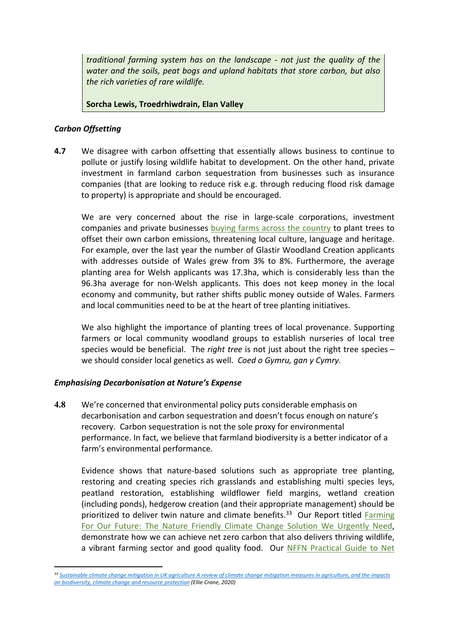*traditional farming system has on the landscape - not just the quality of the water and the soils, peat bogs and upland habitats that store carbon, but also the rich varieties of rare wildlife.*

## **Sorcha Lewis, Troedrhiwdrain, Elan Valley**

## *Carbon Offsetting*

**4.7** We disagree with carbon offsetting that essentially allows business to continue to pollute or justify losing wildlife habitat to development. On the other hand, private investment in farmland carbon sequestration from businesses such as insurance companies (that are looking to reduce risk e.g. through reducing flood risk damage to property) is appropriate and should be encouraged.

We are very concerned about the rise in large-scale corporations, investment companies and private businesses [buying](https://www.bbc.co.uk/news/uk-wales-58103603) [farms](https://www.bbc.co.uk/news/uk-wales-58103603) [across](https://www.bbc.co.uk/news/uk-wales-58103603) [the](https://www.bbc.co.uk/news/uk-wales-58103603) [country](https://www.bbc.co.uk/news/uk-wales-58103603) to plant trees to offset their own carbon emissions, threatening local culture, language and heritage. For example, over the last year the number of Glastir Woodland Creation applicants with addresses outside of Wales grew from 3% to 8%. Furthermore, the average planting area for Welsh applicants was 17.3ha, which is considerably less than the 96.3ha average for non-Welsh applicants. This does not keep money in the local economy and community, but rather shifts public money outside of Wales. Farmers and local communities need to be at the heart of tree planting initiatives.

We also highlight the importance of planting trees of local provenance. Supporting farmers or local community woodland groups to establish nurseries of local tree species would be beneficial. The *right tree* is not just about the right tree species – we should consider local genetics as well. *Coed o Gymru, gan y Cymry.*

## *Emphasising Decarbonisation at Nature's Expense*

**4.8** We're concerned that environmental policy puts considerable emphasis on decarbonisation and carbon sequestration and doesn't focus enough on nature's recovery. Carbon sequestration is not the sole proxy for environmental performance. In fact, we believe that farmland biodiversity is a better indicator of a farm's environmental performance.

Evidence shows that nature-based solutions such as appropriate tree planting, restoring and creating species rich grasslands and establishing multi species leys, peatland restoration, establishing wildflower field margins, wetland creation (including ponds), hedgerow creation (and their appropriate management) should be prioritized to deliver twin nature and climate benefits.<sup>33</sup> Our Report titled [Farming](https://www.nffn.org.uk/wp-content/uploads/2019/10/NFFN_report_v7.1.pdf) [For](https://www.nffn.org.uk/wp-content/uploads/2019/10/NFFN_report_v7.1.pdf) [Our](https://www.nffn.org.uk/wp-content/uploads/2019/10/NFFN_report_v7.1.pdf) [Future:](https://www.nffn.org.uk/wp-content/uploads/2019/10/NFFN_report_v7.1.pdf) [The](https://www.nffn.org.uk/wp-content/uploads/2019/10/NFFN_report_v7.1.pdf) [Nature](https://www.nffn.org.uk/wp-content/uploads/2019/10/NFFN_report_v7.1.pdf) [Friendly](https://www.nffn.org.uk/wp-content/uploads/2019/10/NFFN_report_v7.1.pdf) [Climate](https://www.nffn.org.uk/wp-content/uploads/2019/10/NFFN_report_v7.1.pdf) [Change](https://www.nffn.org.uk/wp-content/uploads/2019/10/NFFN_report_v7.1.pdf) [Solution](https://www.nffn.org.uk/wp-content/uploads/2019/10/NFFN_report_v7.1.pdf) [We](https://www.nffn.org.uk/wp-content/uploads/2019/10/NFFN_report_v7.1.pdf) [Urgently](https://www.nffn.org.uk/wp-content/uploads/2019/10/NFFN_report_v7.1.pdf) [Need](https://www.nffn.org.uk/wp-content/uploads/2019/10/NFFN_report_v7.1.pdf), demonstrate how we can achieve net zero carbon that also delivers thriving wildlife, a vibrant farming sector and good quality food. Our [NFFN](https://www.nffn.org.uk/wp-content/uploads/2020/09/21686-8pp-A5-Net-Zero-Booklet-Design_HR-1.pdf) [Practical](https://www.nffn.org.uk/wp-content/uploads/2020/09/21686-8pp-A5-Net-Zero-Booklet-Design_HR-1.pdf) [Guide](https://www.nffn.org.uk/wp-content/uploads/2020/09/21686-8pp-A5-Net-Zero-Booklet-Design_HR-1.pdf) [to](https://www.nffn.org.uk/wp-content/uploads/2020/09/21686-8pp-A5-Net-Zero-Booklet-Design_HR-1.pdf) [Net](https://www.nffn.org.uk/wp-content/uploads/2020/09/21686-8pp-A5-Net-Zero-Booklet-Design_HR-1.pdf)

<sup>33</sup> [Sustainable](https://community.rspb.org.uk/cfs-file/__key/telligent-evolution-components-attachments/01-3762-00-00-00-79-03-65/Sustainable-mitigation-in-agriculture-report-Mar-20.pdf) [climate](https://community.rspb.org.uk/cfs-file/__key/telligent-evolution-components-attachments/01-3762-00-00-00-79-03-65/Sustainable-mitigation-in-agriculture-report-Mar-20.pdf) [change](https://community.rspb.org.uk/cfs-file/__key/telligent-evolution-components-attachments/01-3762-00-00-00-79-03-65/Sustainable-mitigation-in-agriculture-report-Mar-20.pdf) [mitigation](https://community.rspb.org.uk/cfs-file/__key/telligent-evolution-components-attachments/01-3762-00-00-00-79-03-65/Sustainable-mitigation-in-agriculture-report-Mar-20.pdf) [in](https://community.rspb.org.uk/cfs-file/__key/telligent-evolution-components-attachments/01-3762-00-00-00-79-03-65/Sustainable-mitigation-in-agriculture-report-Mar-20.pdf) [UK](https://community.rspb.org.uk/cfs-file/__key/telligent-evolution-components-attachments/01-3762-00-00-00-79-03-65/Sustainable-mitigation-in-agriculture-report-Mar-20.pdf) [agriculture](https://community.rspb.org.uk/cfs-file/__key/telligent-evolution-components-attachments/01-3762-00-00-00-79-03-65/Sustainable-mitigation-in-agriculture-report-Mar-20.pdf) [A](https://community.rspb.org.uk/cfs-file/__key/telligent-evolution-components-attachments/01-3762-00-00-00-79-03-65/Sustainable-mitigation-in-agriculture-report-Mar-20.pdf) [review](https://community.rspb.org.uk/cfs-file/__key/telligent-evolution-components-attachments/01-3762-00-00-00-79-03-65/Sustainable-mitigation-in-agriculture-report-Mar-20.pdf) [of](https://community.rspb.org.uk/cfs-file/__key/telligent-evolution-components-attachments/01-3762-00-00-00-79-03-65/Sustainable-mitigation-in-agriculture-report-Mar-20.pdf) climate change mitigation [measures](https://community.rspb.org.uk/cfs-file/__key/telligent-evolution-components-attachments/01-3762-00-00-00-79-03-65/Sustainable-mitigation-in-agriculture-report-Mar-20.pdf) in [agriculture,](https://community.rspb.org.uk/cfs-file/__key/telligent-evolution-components-attachments/01-3762-00-00-00-79-03-65/Sustainable-mitigation-in-agriculture-report-Mar-20.pdf) [and](https://community.rspb.org.uk/cfs-file/__key/telligent-evolution-components-attachments/01-3762-00-00-00-79-03-65/Sustainable-mitigation-in-agriculture-report-Mar-20.pdf) [the](https://community.rspb.org.uk/cfs-file/__key/telligent-evolution-components-attachments/01-3762-00-00-00-79-03-65/Sustainable-mitigation-in-agriculture-report-Mar-20.pdf) [impacts](https://community.rspb.org.uk/cfs-file/__key/telligent-evolution-components-attachments/01-3762-00-00-00-79-03-65/Sustainable-mitigation-in-agriculture-report-Mar-20.pdf) *[on](https://community.rspb.org.uk/cfs-file/__key/telligent-evolution-components-attachments/01-3762-00-00-00-79-03-65/Sustainable-mitigation-in-agriculture-report-Mar-20.pdf) [biodiversity,](https://community.rspb.org.uk/cfs-file/__key/telligent-evolution-components-attachments/01-3762-00-00-00-79-03-65/Sustainable-mitigation-in-agriculture-report-Mar-20.pdf) [climate](https://community.rspb.org.uk/cfs-file/__key/telligent-evolution-components-attachments/01-3762-00-00-00-79-03-65/Sustainable-mitigation-in-agriculture-report-Mar-20.pdf) [change](https://community.rspb.org.uk/cfs-file/__key/telligent-evolution-components-attachments/01-3762-00-00-00-79-03-65/Sustainable-mitigation-in-agriculture-report-Mar-20.pdf) [and](https://community.rspb.org.uk/cfs-file/__key/telligent-evolution-components-attachments/01-3762-00-00-00-79-03-65/Sustainable-mitigation-in-agriculture-report-Mar-20.pdf) [resource](https://community.rspb.org.uk/cfs-file/__key/telligent-evolution-components-attachments/01-3762-00-00-00-79-03-65/Sustainable-mitigation-in-agriculture-report-Mar-20.pdf) [protection](https://community.rspb.org.uk/cfs-file/__key/telligent-evolution-components-attachments/01-3762-00-00-00-79-03-65/Sustainable-mitigation-in-agriculture-report-Mar-20.pdf) (Ellie Crane, 2020)*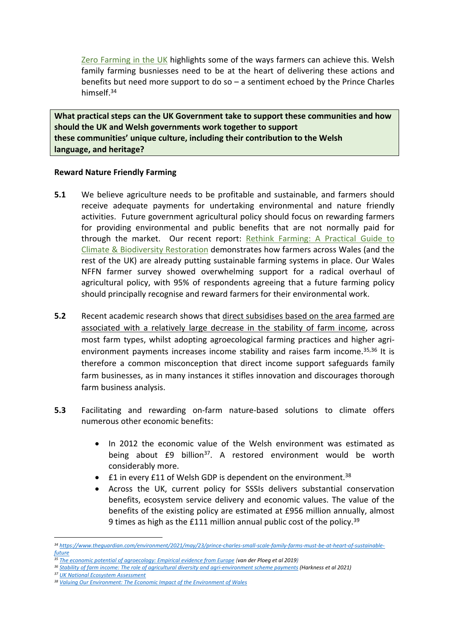[Zero](https://www.nffn.org.uk/wp-content/uploads/2020/09/21686-8pp-A5-Net-Zero-Booklet-Design_HR-1.pdf) [Farming](https://www.nffn.org.uk/wp-content/uploads/2020/09/21686-8pp-A5-Net-Zero-Booklet-Design_HR-1.pdf) [in](https://www.nffn.org.uk/wp-content/uploads/2020/09/21686-8pp-A5-Net-Zero-Booklet-Design_HR-1.pdf) [the](https://www.nffn.org.uk/wp-content/uploads/2020/09/21686-8pp-A5-Net-Zero-Booklet-Design_HR-1.pdf) [UK](https://www.nffn.org.uk/wp-content/uploads/2020/09/21686-8pp-A5-Net-Zero-Booklet-Design_HR-1.pdf) highlights some of the ways farmers can achieve this. Welsh family farming busniesses need to be at the heart of delivering these actions and benefits but need more support to do so – a sentiment echoed by the Prince Charles himself.<sup>34</sup>

**What practical steps can the UK Government take to support these communities and how should the UK and Welsh governments work together to support these communities' unique culture, including their contribution to the Welsh language, and heritage?**

## **Reward Nature Friendly Farming**

- **5.1** We believe agriculture needs to be profitable and sustainable, and farmers should receive adequate payments for undertaking environmental and nature friendly activities. Future government agricultural policy should focus on rewarding farmers for providing environmental and public benefits that are not normally paid for through the market. Our recent report: [Rethink](https://www.nffn.org.uk/wp-content/uploads/2021/10/NFFN-Rethink-Farming-Report_Digital-Initial-Release.pdf) [Farming:](https://www.nffn.org.uk/wp-content/uploads/2021/10/NFFN-Rethink-Farming-Report_Digital-Initial-Release.pdf) [A](https://www.nffn.org.uk/wp-content/uploads/2021/10/NFFN-Rethink-Farming-Report_Digital-Initial-Release.pdf) [Practical](https://www.nffn.org.uk/wp-content/uploads/2021/10/NFFN-Rethink-Farming-Report_Digital-Initial-Release.pdf) [Guide](https://www.nffn.org.uk/wp-content/uploads/2021/10/NFFN-Rethink-Farming-Report_Digital-Initial-Release.pdf) [to](https://www.nffn.org.uk/wp-content/uploads/2021/10/NFFN-Rethink-Farming-Report_Digital-Initial-Release.pdf) [Climate](https://www.nffn.org.uk/wp-content/uploads/2021/10/NFFN-Rethink-Farming-Report_Digital-Initial-Release.pdf) [&](https://www.nffn.org.uk/wp-content/uploads/2021/10/NFFN-Rethink-Farming-Report_Digital-Initial-Release.pdf) [Biodiversity](https://www.nffn.org.uk/wp-content/uploads/2021/10/NFFN-Rethink-Farming-Report_Digital-Initial-Release.pdf) [Restoration](https://www.nffn.org.uk/wp-content/uploads/2021/10/NFFN-Rethink-Farming-Report_Digital-Initial-Release.pdf) demonstrates how farmers across Wales (and the rest of the UK) are already putting sustainable farming systems in place. Our Wales NFFN farmer survey showed overwhelming support for a radical overhaul of agricultural policy, with 95% of respondents agreeing that a future farming policy should principally recognise and reward farmers for their environmental work.
- **5.2** Recent academic research shows that direct subsidises based on the area farmed are associated with a relatively large decrease in the stability of farm income, across most farm types, whilst adopting agroecological farming practices and higher agrienvironment payments increases income stability and raises farm income.35,36 It is therefore a common misconception that direct income support safeguards family farm businesses, as in many instances it stifles innovation and discourages thorough farm business analysis.
- **5.3** Facilitating and rewarding on-farm nature-based solutions to climate offers numerous other economic benefits:
	- In 2012 the economic value of the Welsh environment was estimated as being about £9 billion<sup>37</sup>. A restored environment would be worth considerably more.
	- $\bullet$  £1 in every £11 of Welsh GDP is dependent on the environment.<sup>38</sup>
	- Across the UK, current policy for SSSIs delivers substantial conservation benefits, ecosystem service delivery and economic values. The value of the benefits of the existing policy are estimated at £956 million annually, almost 9 times as high as the £111 million annual public cost of the policy.<sup>39</sup>

*<sup>34</sup> [https://www.theguardian.com/environment/2021/may/23/prince-charles-small-scale-family-farms-must-be-at-heart-of-sustainable](https://www.theguardian.com/environment/2021/may/23/prince-charles-small-scale-family-farms-must-be-at-heart-of-sustainable-future)[future](https://www.theguardian.com/environment/2021/may/23/prince-charles-small-scale-family-farms-must-be-at-heart-of-sustainable-future)*

*<sup>35</sup> [The](https://www.sciencedirect.com/science/article/abs/pii/S0743016718314608) [economic](https://www.sciencedirect.com/science/article/abs/pii/S0743016718314608) [potential](https://www.sciencedirect.com/science/article/abs/pii/S0743016718314608) [of](https://www.sciencedirect.com/science/article/abs/pii/S0743016718314608) [agroecology:](https://www.sciencedirect.com/science/article/abs/pii/S0743016718314608) [Empirical](https://www.sciencedirect.com/science/article/abs/pii/S0743016718314608) [evidence](https://www.sciencedirect.com/science/article/abs/pii/S0743016718314608) [from](https://www.sciencedirect.com/science/article/abs/pii/S0743016718314608) [Europe](https://www.sciencedirect.com/science/article/abs/pii/S0743016718314608) (van der Ploeg et al 2019)*

<sup>&</sup>lt;sup>36</sup> [Stability](https://www.sciencedirect.com/science/article/abs/pii/S0308521X20308702?dgcid=author#f0015) [of](https://www.sciencedirect.com/science/article/abs/pii/S0308521X20308702?dgcid=author#f0015) [farm](https://www.sciencedirect.com/science/article/abs/pii/S0308521X20308702?dgcid=author#f0015) [income:](https://www.sciencedirect.com/science/article/abs/pii/S0308521X20308702?dgcid=author#f0015) [The](https://www.sciencedirect.com/science/article/abs/pii/S0308521X20308702?dgcid=author#f0015) [role](https://www.sciencedirect.com/science/article/abs/pii/S0308521X20308702?dgcid=author#f0015) of [agricultural](https://www.sciencedirect.com/science/article/abs/pii/S0308521X20308702?dgcid=author#f0015) [diversity](https://www.sciencedirect.com/science/article/abs/pii/S0308521X20308702?dgcid=author#f0015) [and](https://www.sciencedirect.com/science/article/abs/pii/S0308521X20308702?dgcid=author#f0015) [agri-environment](https://www.sciencedirect.com/science/article/abs/pii/S0308521X20308702?dgcid=author#f0015) [scheme](https://www.sciencedirect.com/science/article/abs/pii/S0308521X20308702?dgcid=author#f0015) [payments](https://www.sciencedirect.com/science/article/abs/pii/S0308521X20308702?dgcid=author#f0015) (Harkness et al 2021)

*<sup>37</sup> [UK](http://uknea.unep-wcmc.org/Resources/tabid/82/Default.aspx) [National](http://uknea.unep-wcmc.org/Resources/tabid/82/Default.aspx) [Ecosystem](http://uknea.unep-wcmc.org/Resources/tabid/82/Default.aspx) [Assessment](http://uknea.unep-wcmc.org/Resources/tabid/82/Default.aspx)*

*<sup>38</sup> [Valuing](https://www.rspb.org.uk/globalassets/downloads/documents/positions/economics/wales-valuing-our-environment-technical-summary.pdf) [Our](https://www.rspb.org.uk/globalassets/downloads/documents/positions/economics/wales-valuing-our-environment-technical-summary.pdf) [Environment:](https://www.rspb.org.uk/globalassets/downloads/documents/positions/economics/wales-valuing-our-environment-technical-summary.pdf) [The](https://www.rspb.org.uk/globalassets/downloads/documents/positions/economics/wales-valuing-our-environment-technical-summary.pdf) [Economic](https://www.rspb.org.uk/globalassets/downloads/documents/positions/economics/wales-valuing-our-environment-technical-summary.pdf) [Impact](https://www.rspb.org.uk/globalassets/downloads/documents/positions/economics/wales-valuing-our-environment-technical-summary.pdf) [of](https://www.rspb.org.uk/globalassets/downloads/documents/positions/economics/wales-valuing-our-environment-technical-summary.pdf) [the](https://www.rspb.org.uk/globalassets/downloads/documents/positions/economics/wales-valuing-our-environment-technical-summary.pdf) [Environment](https://www.rspb.org.uk/globalassets/downloads/documents/positions/economics/wales-valuing-our-environment-technical-summary.pdf) [of](https://www.rspb.org.uk/globalassets/downloads/documents/positions/economics/wales-valuing-our-environment-technical-summary.pdf) [Wales](https://www.rspb.org.uk/globalassets/downloads/documents/positions/economics/wales-valuing-our-environment-technical-summary.pdf)*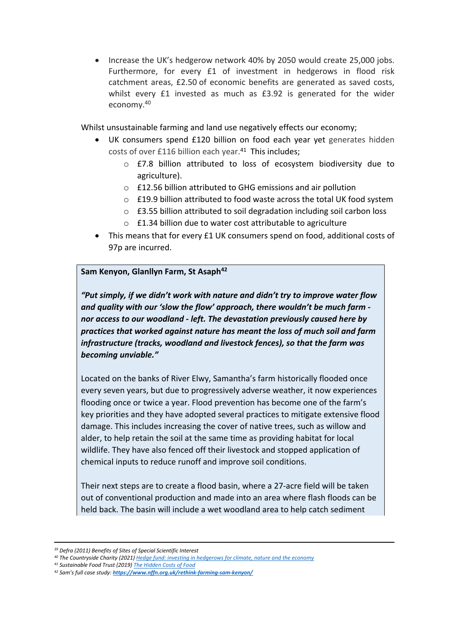• Increase the UK's hedgerow network 40% by 2050 would create 25,000 jobs. Furthermore, for every £1 of investment in hedgerows in flood risk catchment areas, £2.50 of economic benefits are generated as saved costs, whilst every £1 invested as much as £3.92 is generated for the wider economy.<sup>40</sup>

Whilst unsustainable farming and land use negatively effects our economy;

- UK consumers spend £120 billion on food each year yet generates hidden costs of over £116 billion each year.<sup>41</sup> This includes;
	- o £7.8 billion attributed to loss of ecosystem biodiversity due to agriculture).
	- o £12.56 billion attributed to GHG emissions and air pollution
	- o £19.9 billion attributed to food waste across the total UK food system
	- o £3.55 billion attributed to soil degradation including soil carbon loss
	- o £1.34 billion due to water cost attributable to agriculture
- This means that for every £1 UK consumers spend on food, additional costs of 97p are incurred.

## **Sam Kenyon, Glanllyn Farm, St Asaph<sup>42</sup>**

*"Put simply, if we didn't work with nature and didn't try to improve water flow and quality with our 'slow the flow' approach, there wouldn't be much farm nor access to our woodland - left. The devastation previously caused here by practices that worked against nature has meant the loss of much soil and farm infrastructure (tracks, woodland and livestock fences), so that the farm was becoming unviable."*

Located on the banks of River Elwy, Samantha's farm historically flooded once every seven years, but due to progressively adverse weather, it now experiences flooding once or twice a year. Flood prevention has become one of the farm's key priorities and they have adopted several practices to mitigate extensive flood damage. This includes increasing the cover of native trees, such as willow and alder, to help retain the soil at the same time as providing habitat for local wildlife. They have also fenced off their livestock and stopped application of chemical inputs to reduce runoff and improve soil conditions.

Their next steps are to create a flood basin, where a 27-acre field will be taken out of conventional production and made into an area where flash floods can be held back. The basin will include a wet woodland area to help catch sediment

*<sup>41</sup> Sustainable Food Trust (2019) [The](https://sustainablefoodtrust.org/wp-content/uploads/2013/04/Website-Version-The-Hidden-Cost-of-UK-Food.pdf) [Hidden](https://sustainablefoodtrust.org/wp-content/uploads/2013/04/Website-Version-The-Hidden-Cost-of-UK-Food.pdf) [Costs](https://sustainablefoodtrust.org/wp-content/uploads/2013/04/Website-Version-The-Hidden-Cost-of-UK-Food.pdf) [of](https://sustainablefoodtrust.org/wp-content/uploads/2013/04/Website-Version-The-Hidden-Cost-of-UK-Food.pdf) [Food](https://sustainablefoodtrust.org/wp-content/uploads/2013/04/Website-Version-The-Hidden-Cost-of-UK-Food.pdf)*

*<sup>39</sup> Defra (2011) Benefits of Sites of Special Scientific Interest*

*<sup>40</sup> The Countryside Charity (2021) [Hedge](https://www.cpre.org.uk/resources/hedge-fund-full-report/) [fund:](https://www.cpre.org.uk/resources/hedge-fund-full-report/) [investing](https://www.cpre.org.uk/resources/hedge-fund-full-report/) [in](https://www.cpre.org.uk/resources/hedge-fund-full-report/) [hedgerows](https://www.cpre.org.uk/resources/hedge-fund-full-report/) [for](https://www.cpre.org.uk/resources/hedge-fund-full-report/) [climate,](https://www.cpre.org.uk/resources/hedge-fund-full-report/) [nature](https://www.cpre.org.uk/resources/hedge-fund-full-report/) [and](https://www.cpre.org.uk/resources/hedge-fund-full-report/) [the](https://www.cpre.org.uk/resources/hedge-fund-full-report/) [economy](https://www.cpre.org.uk/resources/hedge-fund-full-report/)*

*<sup>42</sup> Sam's full case study: <https://www.nffn.org.uk/rethink-farming-sam-kenyon/>*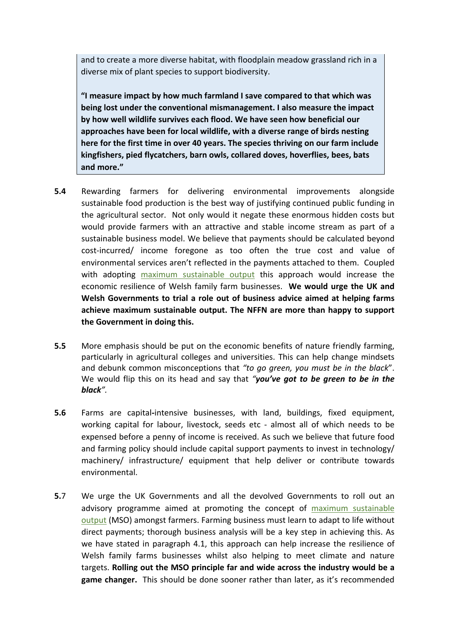and to create a more diverse habitat, with floodplain meadow grassland rich in a diverse mix of plant species to support biodiversity.

**"I measure impact by how much farmland I save compared to that which was being lost under the conventional mismanagement. I also measure the impact by how well wildlife survives each flood. We have seen how beneficial our approaches have been for local wildlife, with a diverse range of birds nesting here for the first time in over 40 years. The species thriving on our farm include kingfishers, pied flycatchers, barn owls, collared doves, hoverflies, bees, bats and more."**

- **5.4** Rewarding farmers for delivering environmental improvements alongside sustainable food production is the best way of justifying continued public funding in the agricultural sector. Not only would it negate these enormous hidden costs but would provide farmers with an attractive and stable income stream as part of a sustainable business model. We believe that payments should be calculated beyond cost-incurred/ income foregone as too often the true cost and value of environmental services aren't reflected in the payments attached to them. Coupled with adopting [maximum](https://www.nffn.org.uk/resources/nmb/) [sustainable](https://www.nffn.org.uk/resources/nmb/) [output](https://www.nffn.org.uk/resources/nmb/) this approach would increase the economic resilience of Welsh family farm businesses. **We would urge the UK and Welsh Governments to trial a role out of business advice aimed at helping farms achieve maximum sustainable output. The NFFN are more than happy to support the Government in doing this.**
- **5.5** More emphasis should be put on the economic benefits of nature friendly farming, particularly in agricultural colleges and universities. This can help change mindsets and debunk common misconceptions that *"to go green, you must be in the black*". We would flip this on its head and say that *"you've got to be green to be in the black".*
- **5.6** Farms are capital**-**intensive businesses, with land, buildings, fixed equipment, working capital for labour, livestock, seeds etc - almost all of which needs to be expensed before a penny of income is received. As such we believe that future food and farming policy should include capital support payments to invest in technology/ machinery/ infrastructure/ equipment that help deliver or contribute towards environmental.
- **5.**7 We urge the UK Governments and all the devolved Governments to roll out an advisory programme aimed at promoting the concept of [maximum](https://www.nffn.org.uk/resources/nmb/) [sustainable](https://www.nffn.org.uk/resources/nmb/) [output](https://www.nffn.org.uk/resources/nmb/) (MSO) amongst farmers. Farming business must learn to adapt to life without direct payments; thorough business analysis will be a key step in achieving this. As we have stated in paragraph 4.1, this approach can help increase the resilience of Welsh family farms businesses whilst also helping to meet climate and nature targets. **Rolling out the MSO principle far and wide across the industry would be a game changer.** This should be done sooner rather than later, as it's recommended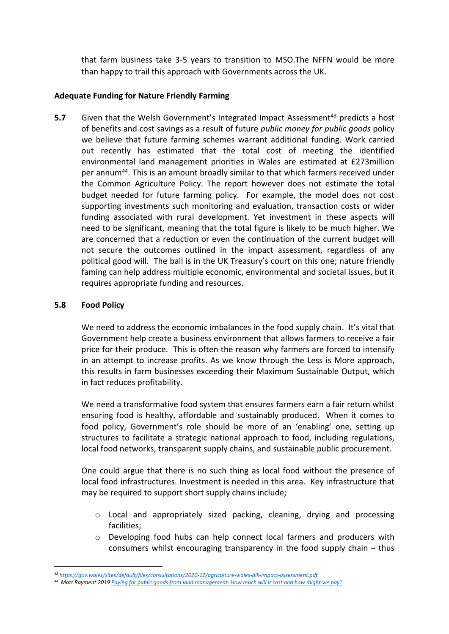that farm business take 3-5 years to transition to MSO.The NFFN would be more than happy to trail this approach with Governments across the UK.

## **Adequate Funding for Nature Friendly Farming**

**5.7** Given that the Welsh Government's Integrated Impact Assessment<sup>43</sup> predicts a host of benefits and cost savings as a result of future *public money for public goods* policy we believe that future farming schemes warrant additional funding. Work carried out recently has estimated that the total cost of meeting the identified environmental land management priorities in Wales are estimated at £273million per annum<sup>44</sup>. This is an amount broadly similar to that which farmers received under the Common Agriculture Policy. The report however does not estimate the total budget needed for future farming policy. For example, the model does not cost supporting investments such monitoring and evaluation, transaction costs or wider funding associated with rural development. Yet investment in these aspects will need to be significant, meaning that the total figure is likely to be much higher. We are concerned that a reduction or even the continuation of the current budget will not secure the outcomes outlined in the impact assessment, regardless of any political good will. The ball is in the UK Treasury's court on this one; nature friendly faming can help address multiple economic, environmental and societal issues, but it requires appropriate funding and resources.

## **5.8 Food Policy**

We need to address the economic imbalances in the food supply chain. It's vital that Government help create a business environment that allows farmers to receive a fair price for their produce. This is often the reason why farmers are forced to intensify in an attempt to increase profits. As we know through the Less is More approach, this results in farm businesses exceeding their Maximum Sustainable Output, which in fact reduces profitability.

We need a transformative food system that ensures farmers earn a fair return whilst ensuring food is healthy, affordable and sustainably produced. When it comes to food policy, Government's role should be more of an 'enabling' one, setting up structures to facilitate a strategic national approach to food, including regulations, local food networks, transparent supply chains, and sustainable public procurement.

One could argue that there is no such thing as local food without the presence of local food infrastructures. Investment is needed in this area. Key infrastructure that may be required to support short supply chains include;

- $\circ$  Local and appropriately sized packing, cleaning, drying and processing facilities;
- o Developing food hubs can help connect local farmers and producers with consumers whilst encouraging transparency in the food supply chain – thus

*<sup>43</sup> <https://gov.wales/sites/default/files/consultations/2020-12/agriculture-wales-bill-impact-assessment.pdf>*

<sup>&</sup>lt;sup>44</sup> Matt Rayment 2019 [Paying](https://www.wildlifetrusts.org/sites/default/files/2019-09/Paying%20for%20public%20goods%20final%20report.pdf) [for](https://www.wildlifetrusts.org/sites/default/files/2019-09/Paying%20for%20public%20goods%20final%20report.pdf) [public](https://www.wildlifetrusts.org/sites/default/files/2019-09/Paying%20for%20public%20goods%20final%20report.pdf) [goods](https://www.wildlifetrusts.org/sites/default/files/2019-09/Paying%20for%20public%20goods%20final%20report.pdf) [from](https://www.wildlifetrusts.org/sites/default/files/2019-09/Paying%20for%20public%20goods%20final%20report.pdf) [land](https://www.wildlifetrusts.org/sites/default/files/2019-09/Paying%20for%20public%20goods%20final%20report.pdf) [management:](https://www.wildlifetrusts.org/sites/default/files/2019-09/Paying%20for%20public%20goods%20final%20report.pdf) [How](https://www.wildlifetrusts.org/sites/default/files/2019-09/Paying%20for%20public%20goods%20final%20report.pdf) [much](https://www.wildlifetrusts.org/sites/default/files/2019-09/Paying%20for%20public%20goods%20final%20report.pdf) [will](https://www.wildlifetrusts.org/sites/default/files/2019-09/Paying%20for%20public%20goods%20final%20report.pdf) [it](https://www.wildlifetrusts.org/sites/default/files/2019-09/Paying%20for%20public%20goods%20final%20report.pdf) [cost](https://www.wildlifetrusts.org/sites/default/files/2019-09/Paying%20for%20public%20goods%20final%20report.pdf) [and](https://www.wildlifetrusts.org/sites/default/files/2019-09/Paying%20for%20public%20goods%20final%20report.pdf) [how](https://www.wildlifetrusts.org/sites/default/files/2019-09/Paying%20for%20public%20goods%20final%20report.pdf) [might](https://www.wildlifetrusts.org/sites/default/files/2019-09/Paying%20for%20public%20goods%20final%20report.pdf) [we](https://www.wildlifetrusts.org/sites/default/files/2019-09/Paying%20for%20public%20goods%20final%20report.pdf) [pay?](https://www.wildlifetrusts.org/sites/default/files/2019-09/Paying%20for%20public%20goods%20final%20report.pdf)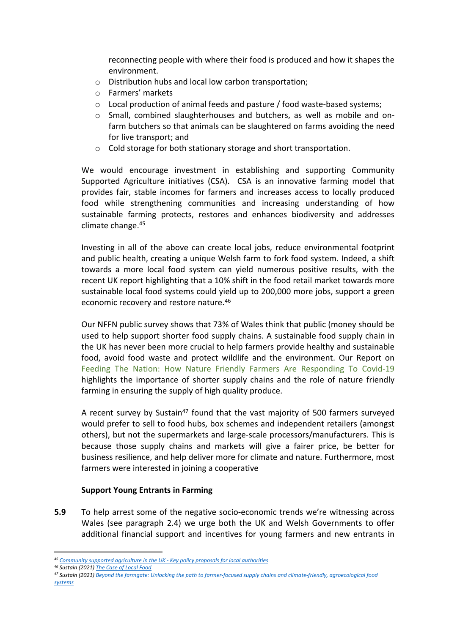reconnecting people with where their food is produced and how it shapes the environment.

- o Distribution hubs and local low carbon transportation;
- o Farmers' markets
- $\circ$  Local production of animal feeds and pasture / food waste-based systems;
- o Small, combined slaughterhouses and butchers, as well as mobile and onfarm butchers so that animals can be slaughtered on farms avoiding the need for live transport; and
- o Cold storage for both stationary storage and short transportation.

We would encourage investment in establishing and supporting Community Supported Agriculture initiatives (CSA). CSA is an innovative farming model that provides fair, stable incomes for farmers and increases access to locally produced food while strengthening communities and increasing understanding of how sustainable farming protects, restores and enhances biodiversity and addresses climate change.<sup>45</sup>

Investing in all of the above can create local jobs, reduce environmental footprint and public health, creating a unique Welsh farm to fork food system. Indeed, a shift towards a more local food system can yield numerous positive results, with the recent UK report highlighting that a 10% shift in the food retail market towards more sustainable local food systems could yield up to 200,000 more jobs, support a green economic recovery and restore nature.<sup>46</sup>

Our NFFN public survey shows that 73% of Wales think that public (money should be used to help support shorter food supply chains. A sustainable food supply chain in the UK has never been more crucial to help farmers provide healthy and sustainable food, avoid food waste and protect wildlife and the environment. Our Report on [Feeding](https://www.nffn.org.uk/wp-content/uploads/2020/04/NFFN-Report-15_04.pdf) [The](https://www.nffn.org.uk/wp-content/uploads/2020/04/NFFN-Report-15_04.pdf) [Nation:](https://www.nffn.org.uk/wp-content/uploads/2020/04/NFFN-Report-15_04.pdf) [How](https://www.nffn.org.uk/wp-content/uploads/2020/04/NFFN-Report-15_04.pdf) [Nature](https://www.nffn.org.uk/wp-content/uploads/2020/04/NFFN-Report-15_04.pdf) [Friendly](https://www.nffn.org.uk/wp-content/uploads/2020/04/NFFN-Report-15_04.pdf) [Farmers](https://www.nffn.org.uk/wp-content/uploads/2020/04/NFFN-Report-15_04.pdf) [Are](https://www.nffn.org.uk/wp-content/uploads/2020/04/NFFN-Report-15_04.pdf) [Responding](https://www.nffn.org.uk/wp-content/uploads/2020/04/NFFN-Report-15_04.pdf) [To](https://www.nffn.org.uk/wp-content/uploads/2020/04/NFFN-Report-15_04.pdf) [Covid-19](https://www.nffn.org.uk/wp-content/uploads/2020/04/NFFN-Report-15_04.pdf) highlights the importance of shorter supply chains and the role of nature friendly farming in ensuring the supply of high quality produce.

A recent survey by Sustain<sup>47</sup> found that the vast majority of 500 farmers surveyed would prefer to sell to food hubs, box schemes and independent retailers (amongst others), but not the supermarkets and large-scale processors/manufacturers. This is because those supply chains and markets will give a fairer price, be better for business resilience, and help deliver more for climate and nature. Furthermore, most farmers were interested in joining a cooperative

## **Support Young Entrants in Farming**

**5.9** To help arrest some of the negative socio-economic trends we're witnessing across Wales (see paragraph 2.4) we urge both the UK and Welsh Governments to offer additional financial support and incentives for young farmers and new entrants in

*<sup>45</sup> [Community](https://communitysupportedagriculture.org.uk/wp-content/uploads/2021/08/CSA_LA-Policy-Proposals_prf1.pdf) [supported](https://communitysupportedagriculture.org.uk/wp-content/uploads/2021/08/CSA_LA-Policy-Proposals_prf1.pdf) [agriculture](https://communitysupportedagriculture.org.uk/wp-content/uploads/2021/08/CSA_LA-Policy-Proposals_prf1.pdf) [in](https://communitysupportedagriculture.org.uk/wp-content/uploads/2021/08/CSA_LA-Policy-Proposals_prf1.pdf) [the](https://communitysupportedagriculture.org.uk/wp-content/uploads/2021/08/CSA_LA-Policy-Proposals_prf1.pdf) [UK](https://communitysupportedagriculture.org.uk/wp-content/uploads/2021/08/CSA_LA-Policy-Proposals_prf1.pdf) [-](https://communitysupportedagriculture.org.uk/wp-content/uploads/2021/08/CSA_LA-Policy-Proposals_prf1.pdf) [Key](https://communitysupportedagriculture.org.uk/wp-content/uploads/2021/08/CSA_LA-Policy-Proposals_prf1.pdf) [policy](https://communitysupportedagriculture.org.uk/wp-content/uploads/2021/08/CSA_LA-Policy-Proposals_prf1.pdf) [proposals](https://communitysupportedagriculture.org.uk/wp-content/uploads/2021/08/CSA_LA-Policy-Proposals_prf1.pdf) [for](https://communitysupportedagriculture.org.uk/wp-content/uploads/2021/08/CSA_LA-Policy-Proposals_prf1.pdf) [local](https://communitysupportedagriculture.org.uk/wp-content/uploads/2021/08/CSA_LA-Policy-Proposals_prf1.pdf) [authorities](https://communitysupportedagriculture.org.uk/wp-content/uploads/2021/08/CSA_LA-Policy-Proposals_prf1.pdf)*

*<sup>46</sup> Sustain (2021) [The](https://www.sustainweb.org/publications/jul21-the-case-for-local-food/) [Case](https://www.sustainweb.org/publications/jul21-the-case-for-local-food/) [of](https://www.sustainweb.org/publications/jul21-the-case-for-local-food/) [Local](https://www.sustainweb.org/publications/jul21-the-case-for-local-food/) [Food](https://www.sustainweb.org/publications/jul21-the-case-for-local-food/)*

<sup>47</sup> Sustain (2021) [Beyond](https://www.sustainweb.org/publications/beyond-the-farmgate/) [the](https://www.sustainweb.org/publications/beyond-the-farmgate/) farmaate: [Unlocking](https://www.sustainweb.org/publications/beyond-the-farmgate/) the [path](https://www.sustainweb.org/publications/beyond-the-farmgate/) [to](https://www.sustainweb.org/publications/beyond-the-farmgate/) [farmer-focused](https://www.sustainweb.org/publications/beyond-the-farmgate/) [supply](https://www.sustainweb.org/publications/beyond-the-farmgate/) [chains](https://www.sustainweb.org/publications/beyond-the-farmgate/) [and](https://www.sustainweb.org/publications/beyond-the-farmgate/) [climate-friendly,](https://www.sustainweb.org/publications/beyond-the-farmgate/) [agroecological](https://www.sustainweb.org/publications/beyond-the-farmgate/) [food](https://www.sustainweb.org/publications/beyond-the-farmgate/) *[systems](https://www.sustainweb.org/publications/beyond-the-farmgate/)*